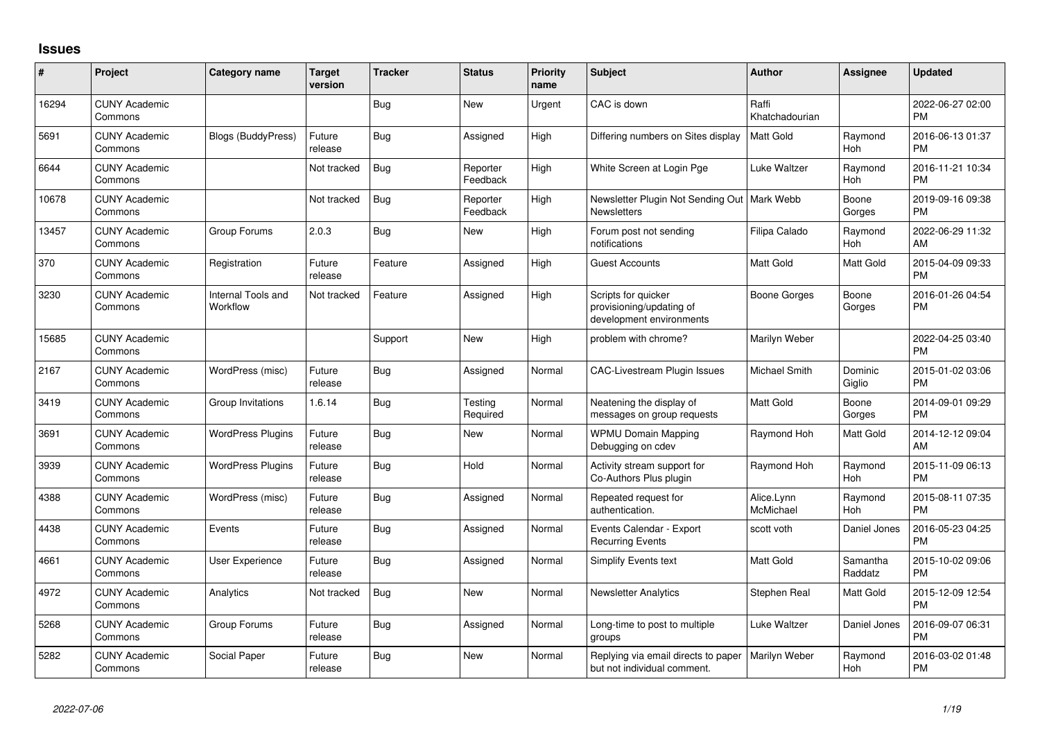## **Issues**

| #     | Project                         | <b>Category name</b>           | <b>Target</b><br>version | <b>Tracker</b> | <b>Status</b>        | <b>Priority</b><br>name | <b>Subject</b>                                                              | <b>Author</b>           | <b>Assignee</b>     | <b>Updated</b>                |
|-------|---------------------------------|--------------------------------|--------------------------|----------------|----------------------|-------------------------|-----------------------------------------------------------------------------|-------------------------|---------------------|-------------------------------|
| 16294 | <b>CUNY Academic</b><br>Commons |                                |                          | Bug            | <b>New</b>           | Urgent                  | CAC is down                                                                 | Raffi<br>Khatchadourian |                     | 2022-06-27 02:00<br><b>PM</b> |
| 5691  | <b>CUNY Academic</b><br>Commons | <b>Blogs (BuddyPress)</b>      | Future<br>release        | Bug            | Assigned             | High                    | Differing numbers on Sites display                                          | <b>Matt Gold</b>        | Raymond<br>Hoh      | 2016-06-13 01:37<br><b>PM</b> |
| 6644  | <b>CUNY Academic</b><br>Commons |                                | Not tracked              | Bug            | Reporter<br>Feedback | High                    | White Screen at Login Pge                                                   | Luke Waltzer            | Raymond<br>Hoh      | 2016-11-21 10:34<br><b>PM</b> |
| 10678 | <b>CUNY Academic</b><br>Commons |                                | Not tracked              | Bug            | Reporter<br>Feedback | High                    | Newsletter Plugin Not Sending Out   Mark Webb<br><b>Newsletters</b>         |                         | Boone<br>Gorges     | 2019-09-16 09:38<br><b>PM</b> |
| 13457 | <b>CUNY Academic</b><br>Commons | Group Forums                   | 2.0.3                    | Bug            | New                  | High                    | Forum post not sending<br>notifications                                     | Filipa Calado           | Raymond<br>Hoh      | 2022-06-29 11:32<br>AM        |
| 370   | <b>CUNY Academic</b><br>Commons | Registration                   | Future<br>release        | Feature        | Assigned             | High                    | Guest Accounts                                                              | <b>Matt Gold</b>        | Matt Gold           | 2015-04-09 09:33<br><b>PM</b> |
| 3230  | <b>CUNY Academic</b><br>Commons | Internal Tools and<br>Workflow | Not tracked              | Feature        | Assigned             | High                    | Scripts for quicker<br>provisioning/updating of<br>development environments | Boone Gorges            | Boone<br>Gorges     | 2016-01-26 04:54<br><b>PM</b> |
| 15685 | <b>CUNY Academic</b><br>Commons |                                |                          | Support        | New                  | High                    | problem with chrome?                                                        | Marilyn Weber           |                     | 2022-04-25 03:40<br><b>PM</b> |
| 2167  | <b>CUNY Academic</b><br>Commons | WordPress (misc)               | Future<br>release        | Bug            | Assigned             | Normal                  | <b>CAC-Livestream Plugin Issues</b>                                         | Michael Smith           | Dominic<br>Giglio   | 2015-01-02 03:06<br><b>PM</b> |
| 3419  | <b>CUNY Academic</b><br>Commons | Group Invitations              | 1.6.14                   | <b>Bug</b>     | Testing<br>Required  | Normal                  | Neatening the display of<br>messages on group requests                      | <b>Matt Gold</b>        | Boone<br>Gorges     | 2014-09-01 09:29<br><b>PM</b> |
| 3691  | <b>CUNY Academic</b><br>Commons | <b>WordPress Plugins</b>       | Future<br>release        | Bug            | New                  | Normal                  | <b>WPMU Domain Mapping</b><br>Debugging on cdev                             | Raymond Hoh             | Matt Gold           | 2014-12-12 09:04<br>AM        |
| 3939  | <b>CUNY Academic</b><br>Commons | <b>WordPress Plugins</b>       | Future<br>release        | Bug            | Hold                 | Normal                  | Activity stream support for<br>Co-Authors Plus plugin                       | Raymond Hoh             | Raymond<br>Hoh      | 2015-11-09 06:13<br><b>PM</b> |
| 4388  | <b>CUNY Academic</b><br>Commons | WordPress (misc)               | Future<br>release        | Bug            | Assigned             | Normal                  | Repeated request for<br>authentication.                                     | Alice.Lynn<br>McMichael | Raymond<br>Hoh      | 2015-08-11 07:35<br><b>PM</b> |
| 4438  | <b>CUNY Academic</b><br>Commons | Events                         | Future<br>release        | Bug            | Assigned             | Normal                  | Events Calendar - Export<br><b>Recurring Events</b>                         | scott voth              | Daniel Jones        | 2016-05-23 04:25<br><b>PM</b> |
| 4661  | <b>CUNY Academic</b><br>Commons | User Experience                | Future<br>release        | Bug            | Assigned             | Normal                  | <b>Simplify Events text</b>                                                 | Matt Gold               | Samantha<br>Raddatz | 2015-10-02 09:06<br><b>PM</b> |
| 4972  | <b>CUNY Academic</b><br>Commons | Analytics                      | Not tracked              | Bug            | <b>New</b>           | Normal                  | <b>Newsletter Analytics</b>                                                 | Stephen Real            | Matt Gold           | 2015-12-09 12:54<br><b>PM</b> |
| 5268  | <b>CUNY Academic</b><br>Commons | Group Forums                   | Future<br>release        | <b>Bug</b>     | Assigned             | Normal                  | Long-time to post to multiple<br>groups                                     | Luke Waltzer            | Daniel Jones        | 2016-09-07 06:31<br><b>PM</b> |
| 5282  | <b>CUNY Academic</b><br>Commons | Social Paper                   | Future<br>release        | Bug            | <b>New</b>           | Normal                  | Replying via email directs to paper<br>but not individual comment.          | Marilyn Weber           | Raymond<br>Hoh      | 2016-03-02 01:48<br><b>PM</b> |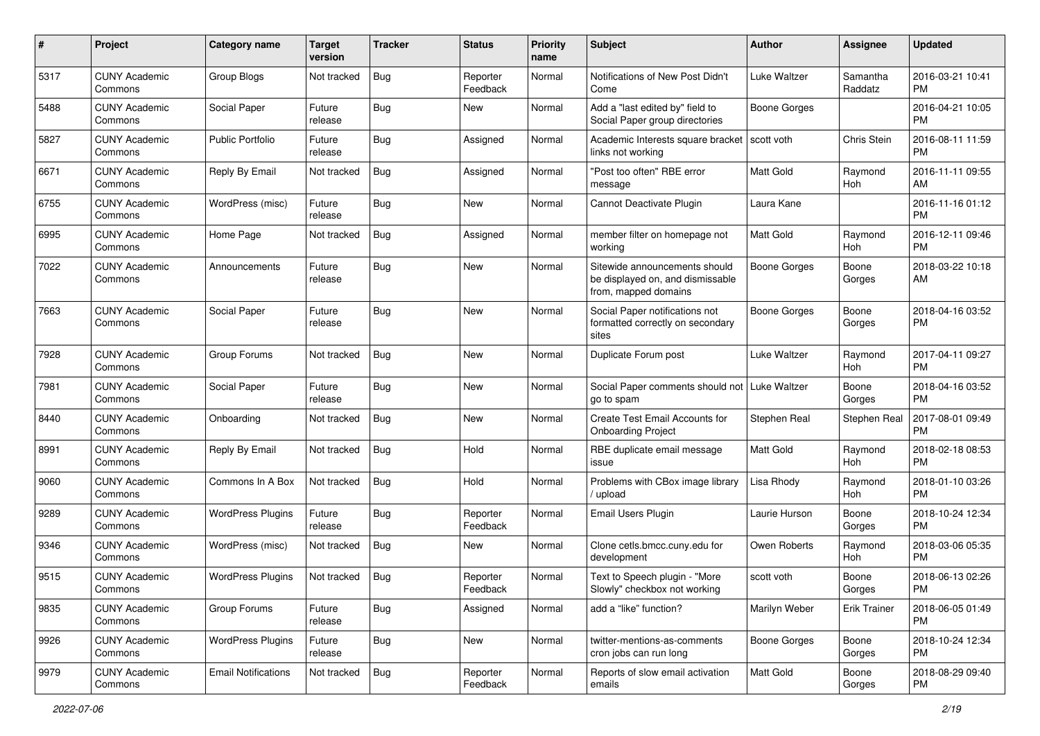| #    | Project                         | <b>Category name</b>       | <b>Target</b><br>version | <b>Tracker</b> | <b>Status</b>        | Priority<br>name | Subject                                                                                   | Author              | <b>Assignee</b>     | <b>Updated</b>                |
|------|---------------------------------|----------------------------|--------------------------|----------------|----------------------|------------------|-------------------------------------------------------------------------------------------|---------------------|---------------------|-------------------------------|
| 5317 | <b>CUNY Academic</b><br>Commons | Group Blogs                | Not tracked              | <b>Bug</b>     | Reporter<br>Feedback | Normal           | Notifications of New Post Didn't<br>Come                                                  | Luke Waltzer        | Samantha<br>Raddatz | 2016-03-21 10:41<br><b>PM</b> |
| 5488 | <b>CUNY Academic</b><br>Commons | Social Paper               | Future<br>release        | <b>Bug</b>     | New                  | Normal           | Add a "last edited by" field to<br>Social Paper group directories                         | <b>Boone Gorges</b> |                     | 2016-04-21 10:05<br><b>PM</b> |
| 5827 | <b>CUNY Academic</b><br>Commons | <b>Public Portfolio</b>    | Future<br>release        | <b>Bug</b>     | Assigned             | Normal           | Academic Interests square bracket<br>links not working                                    | scott voth          | Chris Stein         | 2016-08-11 11:59<br><b>PM</b> |
| 6671 | <b>CUNY Academic</b><br>Commons | Reply By Email             | Not tracked              | <b>Bug</b>     | Assigned             | Normal           | "Post too often" RBE error<br>message                                                     | <b>Matt Gold</b>    | Raymond<br>Hoh      | 2016-11-11 09:55<br>AM        |
| 6755 | <b>CUNY Academic</b><br>Commons | WordPress (misc)           | Future<br>release        | <b>Bug</b>     | New                  | Normal           | Cannot Deactivate Plugin                                                                  | Laura Kane          |                     | 2016-11-16 01:12<br><b>PM</b> |
| 6995 | <b>CUNY Academic</b><br>Commons | Home Page                  | Not tracked              | <b>Bug</b>     | Assigned             | Normal           | member filter on homepage not<br>working                                                  | <b>Matt Gold</b>    | Raymond<br>Hoh      | 2016-12-11 09:46<br><b>PM</b> |
| 7022 | <b>CUNY Academic</b><br>Commons | Announcements              | Future<br>release        | <b>Bug</b>     | New                  | Normal           | Sitewide announcements should<br>be displayed on, and dismissable<br>from, mapped domains | <b>Boone Gorges</b> | Boone<br>Gorges     | 2018-03-22 10:18<br>AM        |
| 7663 | <b>CUNY Academic</b><br>Commons | Social Paper               | Future<br>release        | <b>Bug</b>     | New                  | Normal           | Social Paper notifications not<br>formatted correctly on secondary<br>sites               | <b>Boone Gorges</b> | Boone<br>Gorges     | 2018-04-16 03:52<br><b>PM</b> |
| 7928 | <b>CUNY Academic</b><br>Commons | Group Forums               | Not tracked              | <b>Bug</b>     | <b>New</b>           | Normal           | Duplicate Forum post                                                                      | Luke Waltzer        | Raymond<br>Hoh      | 2017-04-11 09:27<br><b>PM</b> |
| 7981 | <b>CUNY Academic</b><br>Commons | Social Paper               | Future<br>release        | <b>Bug</b>     | New                  | Normal           | Social Paper comments should not   Luke Waltzer<br>go to spam                             |                     | Boone<br>Gorges     | 2018-04-16 03:52<br><b>PM</b> |
| 8440 | <b>CUNY Academic</b><br>Commons | Onboarding                 | Not tracked              | <b>Bug</b>     | New                  | Normal           | Create Test Email Accounts for<br><b>Onboarding Project</b>                               | Stephen Real        | Stephen Real        | 2017-08-01 09:49<br><b>PM</b> |
| 8991 | <b>CUNY Academic</b><br>Commons | Reply By Email             | Not tracked              | <b>Bug</b>     | Hold                 | Normal           | RBE duplicate email message<br>issue                                                      | Matt Gold           | Raymond<br>Hoh      | 2018-02-18 08:53<br><b>PM</b> |
| 9060 | <b>CUNY Academic</b><br>Commons | Commons In A Box           | Not tracked              | Bug            | Hold                 | Normal           | Problems with CBox image library<br>upload                                                | Lisa Rhody          | Raymond<br>Hoh      | 2018-01-10 03:26<br><b>PM</b> |
| 9289 | <b>CUNY Academic</b><br>Commons | <b>WordPress Plugins</b>   | Future<br>release        | <b>Bug</b>     | Reporter<br>Feedback | Normal           | Email Users Plugin                                                                        | Laurie Hurson       | Boone<br>Gorges     | 2018-10-24 12:34<br><b>PM</b> |
| 9346 | <b>CUNY Academic</b><br>Commons | WordPress (misc)           | Not tracked              | Bug            | New                  | Normal           | Clone cetls.bmcc.cuny.edu for<br>development                                              | Owen Roberts        | Raymond<br>Hoh      | 2018-03-06 05:35<br><b>PM</b> |
| 9515 | <b>CUNY Academic</b><br>Commons | <b>WordPress Plugins</b>   | Not tracked              | <b>Bug</b>     | Reporter<br>Feedback | Normal           | Text to Speech plugin - "More<br>Slowly" checkbox not working                             | scott voth          | Boone<br>Gorges     | 2018-06-13 02:26<br>PM        |
| 9835 | <b>CUNY Academic</b><br>Commons | Group Forums               | Future<br>release        | <b>Bug</b>     | Assigned             | Normal           | add a "like" function?                                                                    | Marilyn Weber       | Erik Trainer        | 2018-06-05 01:49<br><b>PM</b> |
| 9926 | <b>CUNY Academic</b><br>Commons | <b>WordPress Plugins</b>   | Future<br>release        | <b>Bug</b>     | New                  | Normal           | twitter-mentions-as-comments<br>cron jobs can run long                                    | Boone Gorges        | Boone<br>Gorges     | 2018-10-24 12:34<br>PM        |
| 9979 | <b>CUNY Academic</b><br>Commons | <b>Email Notifications</b> | Not tracked              | <b>Bug</b>     | Reporter<br>Feedback | Normal           | Reports of slow email activation<br>emails                                                | Matt Gold           | Boone<br>Gorges     | 2018-08-29 09:40<br><b>PM</b> |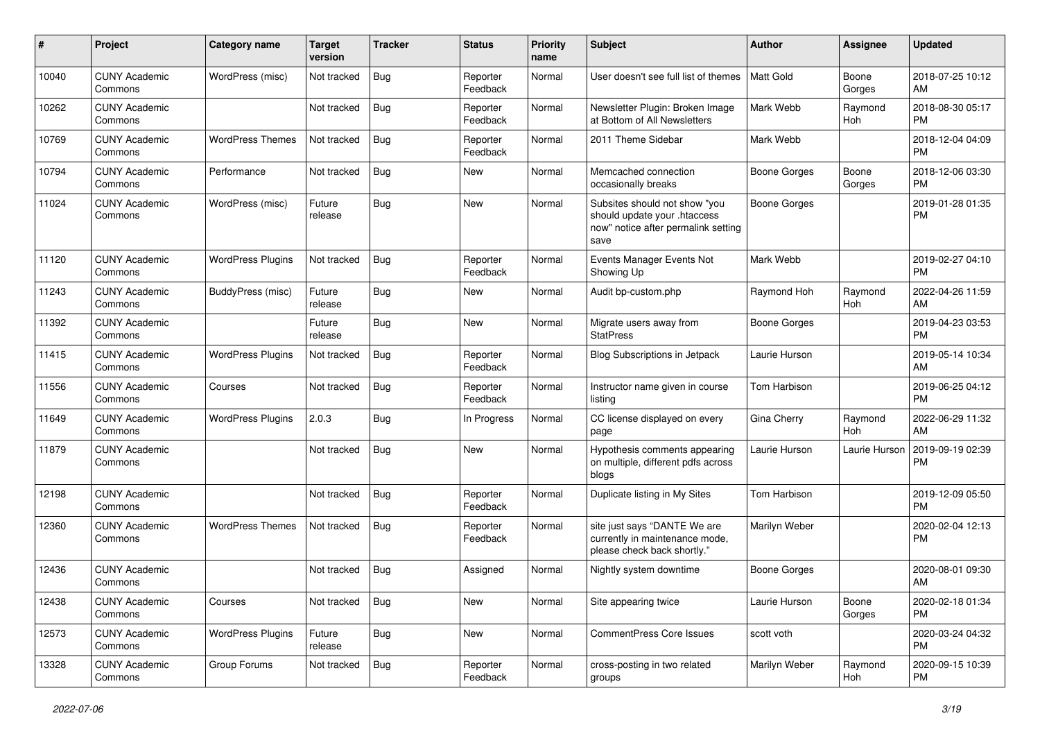| #     | Project                         | <b>Category name</b>     | <b>Target</b><br>version | <b>Tracker</b> | <b>Status</b>        | Priority<br>name | <b>Subject</b>                                                                                               | <b>Author</b>       | Assignee              | <b>Updated</b>                |
|-------|---------------------------------|--------------------------|--------------------------|----------------|----------------------|------------------|--------------------------------------------------------------------------------------------------------------|---------------------|-----------------------|-------------------------------|
| 10040 | <b>CUNY Academic</b><br>Commons | WordPress (misc)         | Not tracked              | <b>Bug</b>     | Reporter<br>Feedback | Normal           | User doesn't see full list of themes                                                                         | <b>Matt Gold</b>    | Boone<br>Gorges       | 2018-07-25 10:12<br>AM        |
| 10262 | <b>CUNY Academic</b><br>Commons |                          | Not tracked              | <b>Bug</b>     | Reporter<br>Feedback | Normal           | Newsletter Plugin: Broken Image<br>at Bottom of All Newsletters                                              | Mark Webb           | Raymond<br>Hoh        | 2018-08-30 05:17<br><b>PM</b> |
| 10769 | <b>CUNY Academic</b><br>Commons | <b>WordPress Themes</b>  | Not tracked              | <b>Bug</b>     | Reporter<br>Feedback | Normal           | 2011 Theme Sidebar                                                                                           | Mark Webb           |                       | 2018-12-04 04:09<br><b>PM</b> |
| 10794 | <b>CUNY Academic</b><br>Commons | Performance              | Not tracked              | Bug            | <b>New</b>           | Normal           | Memcached connection<br>occasionally breaks                                                                  | <b>Boone Gorges</b> | Boone<br>Gorges       | 2018-12-06 03:30<br><b>PM</b> |
| 11024 | <b>CUNY Academic</b><br>Commons | WordPress (misc)         | Future<br>release        | <b>Bug</b>     | <b>New</b>           | Normal           | Subsites should not show "you<br>should update your .htaccess<br>now" notice after permalink setting<br>save | <b>Boone Gorges</b> |                       | 2019-01-28 01:35<br><b>PM</b> |
| 11120 | <b>CUNY Academic</b><br>Commons | <b>WordPress Plugins</b> | Not tracked              | <b>Bug</b>     | Reporter<br>Feedback | Normal           | Events Manager Events Not<br>Showing Up                                                                      | Mark Webb           |                       | 2019-02-27 04:10<br><b>PM</b> |
| 11243 | <b>CUNY Academic</b><br>Commons | BuddyPress (misc)        | Future<br>release        | <b>Bug</b>     | New                  | Normal           | Audit bp-custom.php                                                                                          | Raymond Hoh         | Raymond<br>Hoh        | 2022-04-26 11:59<br>AM        |
| 11392 | <b>CUNY Academic</b><br>Commons |                          | Future<br>release        | Bug            | <b>New</b>           | Normal           | Migrate users away from<br><b>StatPress</b>                                                                  | <b>Boone Gorges</b> |                       | 2019-04-23 03:53<br><b>PM</b> |
| 11415 | <b>CUNY Academic</b><br>Commons | <b>WordPress Plugins</b> | Not tracked              | <b>Bug</b>     | Reporter<br>Feedback | Normal           | <b>Blog Subscriptions in Jetpack</b>                                                                         | Laurie Hurson       |                       | 2019-05-14 10:34<br>AM        |
| 11556 | <b>CUNY Academic</b><br>Commons | Courses                  | Not tracked              | Bug            | Reporter<br>Feedback | Normal           | Instructor name given in course<br>listing                                                                   | Tom Harbison        |                       | 2019-06-25 04:12<br><b>PM</b> |
| 11649 | <b>CUNY Academic</b><br>Commons | <b>WordPress Plugins</b> | 2.0.3                    | Bug            | In Progress          | Normal           | CC license displayed on every<br>page                                                                        | Gina Cherry         | Raymond<br><b>Hoh</b> | 2022-06-29 11:32<br>AM        |
| 11879 | <b>CUNY Academic</b><br>Commons |                          | Not tracked              | <b>Bug</b>     | <b>New</b>           | Normal           | Hypothesis comments appearing<br>on multiple, different pdfs across<br>blogs                                 | Laurie Hurson       | Laurie Hurson         | 2019-09-19 02:39<br>PM        |
| 12198 | <b>CUNY Academic</b><br>Commons |                          | Not tracked              | <b>Bug</b>     | Reporter<br>Feedback | Normal           | Duplicate listing in My Sites                                                                                | Tom Harbison        |                       | 2019-12-09 05:50<br><b>PM</b> |
| 12360 | <b>CUNY Academic</b><br>Commons | <b>WordPress Themes</b>  | Not tracked              | <b>Bug</b>     | Reporter<br>Feedback | Normal           | site just says "DANTE We are<br>currently in maintenance mode,<br>please check back shortly."                | Marilyn Weber       |                       | 2020-02-04 12:13<br><b>PM</b> |
| 12436 | <b>CUNY Academic</b><br>Commons |                          | Not tracked              | Bug            | Assigned             | Normal           | Nightly system downtime                                                                                      | <b>Boone Gorges</b> |                       | 2020-08-01 09:30<br>AM        |
| 12438 | <b>CUNY Academic</b><br>Commons | Courses                  | Not tracked              | Bug            | New                  | Normal           | Site appearing twice                                                                                         | Laurie Hurson       | Boone<br>Gorges       | 2020-02-18 01:34<br><b>PM</b> |
| 12573 | <b>CUNY Academic</b><br>Commons | <b>WordPress Plugins</b> | Future<br>release        | <b>Bug</b>     | New                  | Normal           | CommentPress Core Issues                                                                                     | scott voth          |                       | 2020-03-24 04:32<br>PM        |
| 13328 | <b>CUNY Academic</b><br>Commons | Group Forums             | Not tracked              | Bug            | Reporter<br>Feedback | Normal           | cross-posting in two related<br>groups                                                                       | Marilyn Weber       | Raymond<br>Hoh        | 2020-09-15 10:39<br>PM        |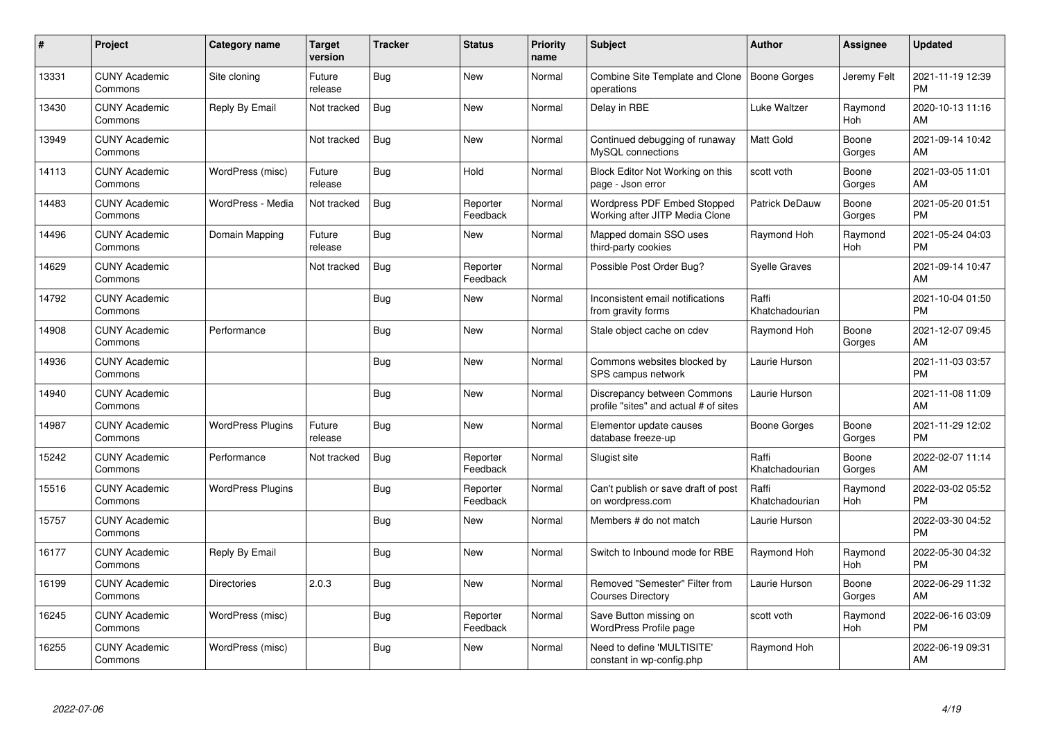| #     | Project                         | Category name            | <b>Target</b><br>version | <b>Tracker</b> | <b>Status</b>        | <b>Priority</b><br>name | <b>Subject</b>                                                       | Author                  | Assignee        | <b>Updated</b>                |
|-------|---------------------------------|--------------------------|--------------------------|----------------|----------------------|-------------------------|----------------------------------------------------------------------|-------------------------|-----------------|-------------------------------|
| 13331 | <b>CUNY Academic</b><br>Commons | Site cloning             | Future<br>release        | <b>Bug</b>     | <b>New</b>           | Normal                  | Combine Site Template and Clone   Boone Gorges<br>operations         |                         | Jeremy Felt     | 2021-11-19 12:39<br><b>PM</b> |
| 13430 | <b>CUNY Academic</b><br>Commons | Reply By Email           | Not tracked              | Bug            | New                  | Normal                  | Delay in RBE                                                         | Luke Waltzer            | Raymond<br>Hoh  | 2020-10-13 11:16<br>AM        |
| 13949 | <b>CUNY Academic</b><br>Commons |                          | Not tracked              | Bug            | <b>New</b>           | Normal                  | Continued debugging of runaway<br>MySQL connections                  | <b>Matt Gold</b>        | Boone<br>Gorges | 2021-09-14 10:42<br>AM        |
| 14113 | <b>CUNY Academic</b><br>Commons | WordPress (misc)         | Future<br>release        | <b>Bug</b>     | Hold                 | Normal                  | Block Editor Not Working on this<br>page - Json error                | scott voth              | Boone<br>Gorges | 2021-03-05 11:01<br>AM        |
| 14483 | <b>CUNY Academic</b><br>Commons | WordPress - Media        | Not tracked              | Bug            | Reporter<br>Feedback | Normal                  | Wordpress PDF Embed Stopped<br>Working after JITP Media Clone        | Patrick DeDauw          | Boone<br>Gorges | 2021-05-20 01:51<br><b>PM</b> |
| 14496 | <b>CUNY Academic</b><br>Commons | Domain Mapping           | Future<br>release        | Bug            | <b>New</b>           | Normal                  | Mapped domain SSO uses<br>third-party cookies                        | Raymond Hoh             | Raymond<br>Hoh  | 2021-05-24 04:03<br><b>PM</b> |
| 14629 | <b>CUNY Academic</b><br>Commons |                          | Not tracked              | <b>Bug</b>     | Reporter<br>Feedback | Normal                  | Possible Post Order Bug?                                             | <b>Syelle Graves</b>    |                 | 2021-09-14 10:47<br>AM        |
| 14792 | <b>CUNY Academic</b><br>Commons |                          |                          | <b>Bug</b>     | <b>New</b>           | Normal                  | Inconsistent email notifications<br>from gravity forms               | Raffi<br>Khatchadourian |                 | 2021-10-04 01:50<br><b>PM</b> |
| 14908 | <b>CUNY Academic</b><br>Commons | Performance              |                          | Bug            | <b>New</b>           | Normal                  | Stale object cache on cdev                                           | Raymond Hoh             | Boone<br>Gorges | 2021-12-07 09:45<br>AM        |
| 14936 | <b>CUNY Academic</b><br>Commons |                          |                          | <b>Bug</b>     | <b>New</b>           | Normal                  | Commons websites blocked by<br>SPS campus network                    | Laurie Hurson           |                 | 2021-11-03 03:57<br><b>PM</b> |
| 14940 | <b>CUNY Academic</b><br>Commons |                          |                          | <b>Bug</b>     | New                  | Normal                  | Discrepancy between Commons<br>profile "sites" and actual # of sites | Laurie Hurson           |                 | 2021-11-08 11:09<br>AM        |
| 14987 | <b>CUNY Academic</b><br>Commons | <b>WordPress Plugins</b> | Future<br>release        | Bug            | <b>New</b>           | Normal                  | Elementor update causes<br>database freeze-up                        | Boone Gorges            | Boone<br>Gorges | 2021-11-29 12:02<br><b>PM</b> |
| 15242 | <b>CUNY Academic</b><br>Commons | Performance              | Not tracked              | Bug            | Reporter<br>Feedback | Normal                  | Slugist site                                                         | Raffi<br>Khatchadourian | Boone<br>Gorges | 2022-02-07 11:14<br>AM        |
| 15516 | <b>CUNY Academic</b><br>Commons | <b>WordPress Plugins</b> |                          | Bug            | Reporter<br>Feedback | Normal                  | Can't publish or save draft of post<br>on wordpress.com              | Raffi<br>Khatchadourian | Raymond<br>Hoh  | 2022-03-02 05:52<br><b>PM</b> |
| 15757 | <b>CUNY Academic</b><br>Commons |                          |                          | Bug            | New                  | Normal                  | Members # do not match                                               | Laurie Hurson           |                 | 2022-03-30 04:52<br><b>PM</b> |
| 16177 | <b>CUNY Academic</b><br>Commons | Reply By Email           |                          | <b>Bug</b>     | New                  | Normal                  | Switch to Inbound mode for RBE                                       | Raymond Hoh             | Raymond<br>Hoh  | 2022-05-30 04:32<br><b>PM</b> |
| 16199 | <b>CUNY Academic</b><br>Commons | <b>Directories</b>       | 2.0.3                    | Bug            | New                  | Normal                  | Removed "Semester" Filter from<br><b>Courses Directory</b>           | Laurie Hurson           | Boone<br>Gorges | 2022-06-29 11:32<br>AM        |
| 16245 | <b>CUNY Academic</b><br>Commons | WordPress (misc)         |                          | Bug            | Reporter<br>Feedback | Normal                  | Save Button missing on<br><b>WordPress Profile page</b>              | scott voth              | Raymond<br>Hoh  | 2022-06-16 03:09<br><b>PM</b> |
| 16255 | <b>CUNY Academic</b><br>Commons | WordPress (misc)         |                          | Bug            | <b>New</b>           | Normal                  | Need to define 'MULTISITE'<br>constant in wp-config.php              | Raymond Hoh             |                 | 2022-06-19 09:31<br>AM        |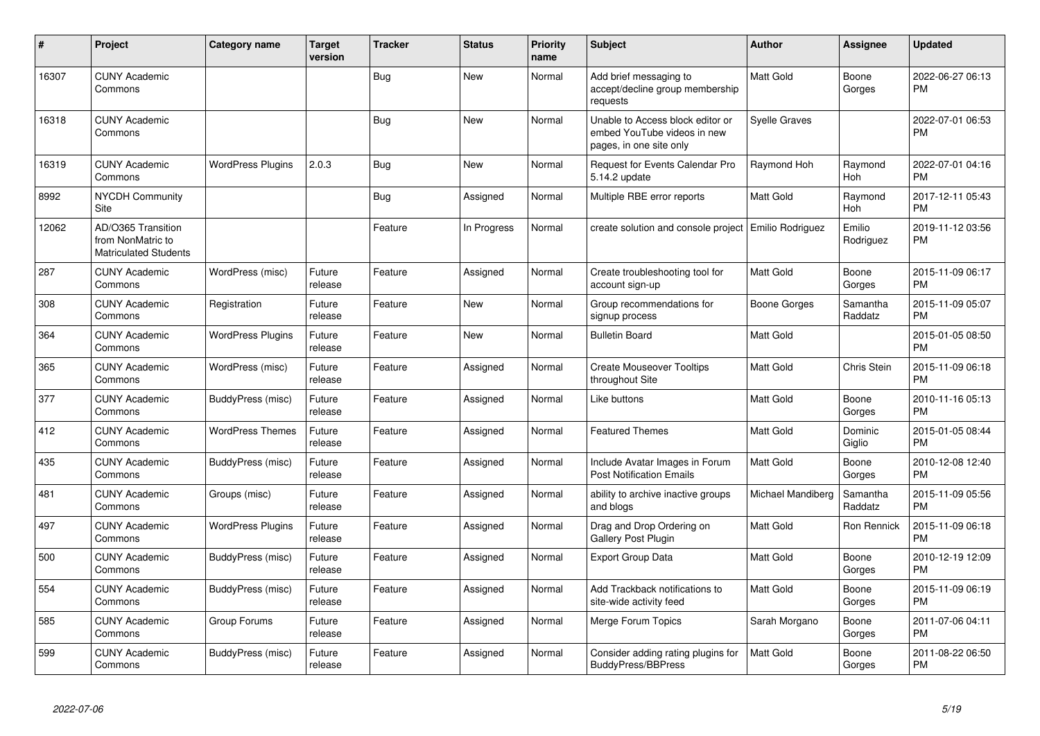| #     | Project                                                                 | Category name            | <b>Target</b><br>version | <b>Tracker</b> | <b>Status</b> | <b>Priority</b><br>name | <b>Subject</b>                                                                             | <b>Author</b>           | <b>Assignee</b>     | <b>Updated</b>                |
|-------|-------------------------------------------------------------------------|--------------------------|--------------------------|----------------|---------------|-------------------------|--------------------------------------------------------------------------------------------|-------------------------|---------------------|-------------------------------|
| 16307 | <b>CUNY Academic</b><br>Commons                                         |                          |                          | <b>Bug</b>     | New           | Normal                  | Add brief messaging to<br>accept/decline group membership<br>requests                      | <b>Matt Gold</b>        | Boone<br>Gorges     | 2022-06-27 06:13<br><b>PM</b> |
| 16318 | <b>CUNY Academic</b><br>Commons                                         |                          |                          | Bug            | New           | Normal                  | Unable to Access block editor or<br>embed YouTube videos in new<br>pages, in one site only | <b>Syelle Graves</b>    |                     | 2022-07-01 06:53<br><b>PM</b> |
| 16319 | <b>CUNY Academic</b><br>Commons                                         | <b>WordPress Plugins</b> | 2.0.3                    | Bug            | <b>New</b>    | Normal                  | Request for Events Calendar Pro<br>5.14.2 update                                           | Raymond Hoh             | Raymond<br>Hoh      | 2022-07-01 04:16<br><b>PM</b> |
| 8992  | <b>NYCDH Community</b><br>Site                                          |                          |                          | <b>Bug</b>     | Assigned      | Normal                  | Multiple RBE error reports                                                                 | <b>Matt Gold</b>        | Raymond<br>Hoh      | 2017-12-11 05:43<br><b>PM</b> |
| 12062 | AD/O365 Transition<br>from NonMatric to<br><b>Matriculated Students</b> |                          |                          | Feature        | In Progress   | Normal                  | create solution and console project                                                        | <b>Emilio Rodriguez</b> | Emilio<br>Rodriguez | 2019-11-12 03:56<br><b>PM</b> |
| 287   | <b>CUNY Academic</b><br>Commons                                         | WordPress (misc)         | Future<br>release        | Feature        | Assigned      | Normal                  | Create troubleshooting tool for<br>account sign-up                                         | <b>Matt Gold</b>        | Boone<br>Gorges     | 2015-11-09 06:17<br><b>PM</b> |
| 308   | <b>CUNY Academic</b><br>Commons                                         | Registration             | Future<br>release        | Feature        | New           | Normal                  | Group recommendations for<br>signup process                                                | Boone Gorges            | Samantha<br>Raddatz | 2015-11-09 05:07<br><b>PM</b> |
| 364   | <b>CUNY Academic</b><br>Commons                                         | <b>WordPress Plugins</b> | Future<br>release        | Feature        | <b>New</b>    | Normal                  | <b>Bulletin Board</b>                                                                      | <b>Matt Gold</b>        |                     | 2015-01-05 08:50<br><b>PM</b> |
| 365   | <b>CUNY Academic</b><br>Commons                                         | WordPress (misc)         | Future<br>release        | Feature        | Assigned      | Normal                  | <b>Create Mouseover Tooltips</b><br>throughout Site                                        | <b>Matt Gold</b>        | Chris Stein         | 2015-11-09 06:18<br><b>PM</b> |
| 377   | <b>CUNY Academic</b><br>Commons                                         | BuddyPress (misc)        | Future<br>release        | Feature        | Assigned      | Normal                  | Like buttons                                                                               | <b>Matt Gold</b>        | Boone<br>Gorges     | 2010-11-16 05:13<br><b>PM</b> |
| 412   | <b>CUNY Academic</b><br>Commons                                         | <b>WordPress Themes</b>  | Future<br>release        | Feature        | Assigned      | Normal                  | <b>Featured Themes</b>                                                                     | <b>Matt Gold</b>        | Dominic<br>Giglio   | 2015-01-05 08:44<br><b>PM</b> |
| 435   | <b>CUNY Academic</b><br>Commons                                         | BuddyPress (misc)        | Future<br>release        | Feature        | Assigned      | Normal                  | Include Avatar Images in Forum<br><b>Post Notification Emails</b>                          | <b>Matt Gold</b>        | Boone<br>Gorges     | 2010-12-08 12:40<br><b>PM</b> |
| 481   | <b>CUNY Academic</b><br>Commons                                         | Groups (misc)            | Future<br>release        | Feature        | Assigned      | Normal                  | ability to archive inactive groups<br>and blogs                                            | Michael Mandiberg       | Samantha<br>Raddatz | 2015-11-09 05:56<br><b>PM</b> |
| 497   | <b>CUNY Academic</b><br>Commons                                         | <b>WordPress Plugins</b> | Future<br>release        | Feature        | Assigned      | Normal                  | Drag and Drop Ordering on<br><b>Gallery Post Plugin</b>                                    | <b>Matt Gold</b>        | Ron Rennick         | 2015-11-09 06:18<br><b>PM</b> |
| 500   | <b>CUNY Academic</b><br>Commons                                         | BuddyPress (misc)        | Future<br>release        | Feature        | Assigned      | Normal                  | <b>Export Group Data</b>                                                                   | <b>Matt Gold</b>        | Boone<br>Gorges     | 2010-12-19 12:09<br><b>PM</b> |
| 554   | <b>CUNY Academic</b><br>Commons                                         | BuddyPress (misc)        | Future<br>release        | Feature        | Assigned      | Normal                  | Add Trackback notifications to<br>site-wide activity feed                                  | <b>Matt Gold</b>        | Boone<br>Gorges     | 2015-11-09 06:19<br><b>PM</b> |
| 585   | <b>CUNY Academic</b><br>Commons                                         | Group Forums             | Future<br>release        | Feature        | Assigned      | Normal                  | Merge Forum Topics                                                                         | Sarah Morgano           | Boone<br>Gorges     | 2011-07-06 04:11<br><b>PM</b> |
| 599   | <b>CUNY Academic</b><br>Commons                                         | BuddyPress (misc)        | Future<br>release        | Feature        | Assigned      | Normal                  | Consider adding rating plugins for<br><b>BuddyPress/BBPress</b>                            | <b>Matt Gold</b>        | Boone<br>Gorges     | 2011-08-22 06:50<br>PM        |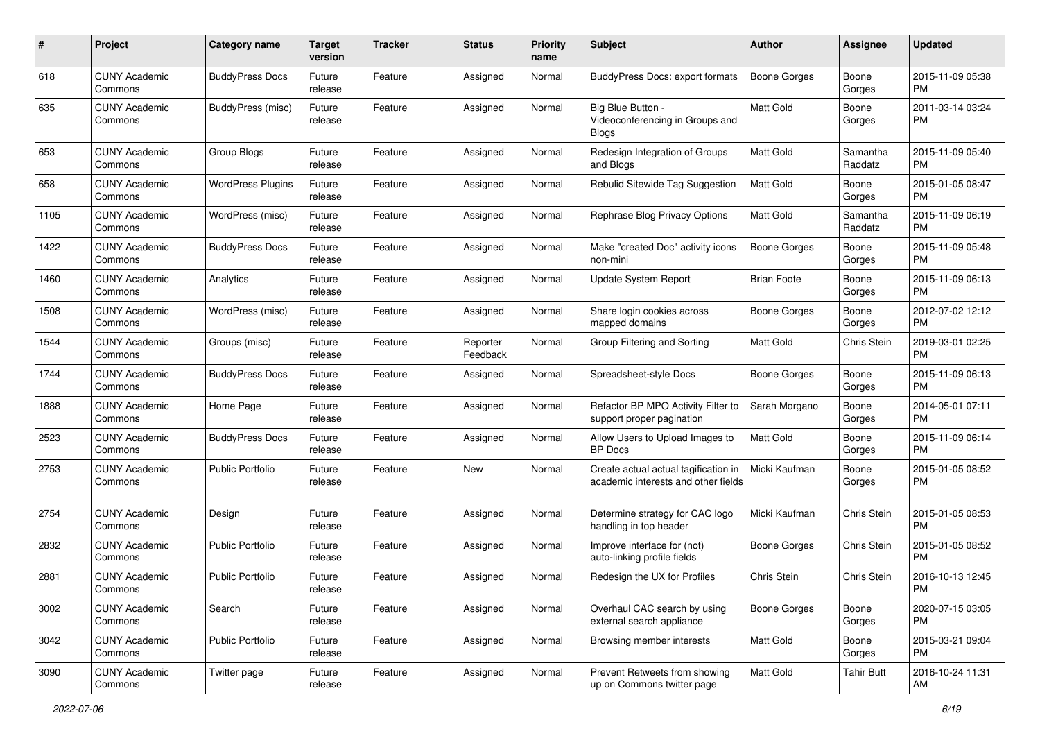| #    | Project                         | <b>Category name</b>     | <b>Target</b><br>version | <b>Tracker</b> | <b>Status</b>        | <b>Priority</b><br>name | <b>Subject</b>                                                              | Author              | <b>Assignee</b>     | <b>Updated</b>                |
|------|---------------------------------|--------------------------|--------------------------|----------------|----------------------|-------------------------|-----------------------------------------------------------------------------|---------------------|---------------------|-------------------------------|
| 618  | <b>CUNY Academic</b><br>Commons | <b>BuddyPress Docs</b>   | Future<br>release        | Feature        | Assigned             | Normal                  | BuddyPress Docs: export formats                                             | <b>Boone Gorges</b> | Boone<br>Gorges     | 2015-11-09 05:38<br><b>PM</b> |
| 635  | <b>CUNY Academic</b><br>Commons | BuddyPress (misc)        | Future<br>release        | Feature        | Assigned             | Normal                  | Big Blue Button -<br>Videoconferencing in Groups and<br><b>Blogs</b>        | Matt Gold           | Boone<br>Gorges     | 2011-03-14 03:24<br><b>PM</b> |
| 653  | <b>CUNY Academic</b><br>Commons | Group Blogs              | Future<br>release        | Feature        | Assigned             | Normal                  | Redesign Integration of Groups<br>and Blogs                                 | <b>Matt Gold</b>    | Samantha<br>Raddatz | 2015-11-09 05:40<br><b>PM</b> |
| 658  | <b>CUNY Academic</b><br>Commons | <b>WordPress Plugins</b> | Future<br>release        | Feature        | Assigned             | Normal                  | Rebulid Sitewide Tag Suggestion                                             | Matt Gold           | Boone<br>Gorges     | 2015-01-05 08:47<br><b>PM</b> |
| 1105 | <b>CUNY Academic</b><br>Commons | WordPress (misc)         | Future<br>release        | Feature        | Assigned             | Normal                  | Rephrase Blog Privacy Options                                               | <b>Matt Gold</b>    | Samantha<br>Raddatz | 2015-11-09 06:19<br><b>PM</b> |
| 1422 | <b>CUNY Academic</b><br>Commons | <b>BuddyPress Docs</b>   | Future<br>release        | Feature        | Assigned             | Normal                  | Make "created Doc" activity icons<br>non-mini                               | <b>Boone Gorges</b> | Boone<br>Gorges     | 2015-11-09 05:48<br><b>PM</b> |
| 1460 | <b>CUNY Academic</b><br>Commons | Analytics                | Future<br>release        | Feature        | Assigned             | Normal                  | Update System Report                                                        | <b>Brian Foote</b>  | Boone<br>Gorges     | 2015-11-09 06:13<br><b>PM</b> |
| 1508 | <b>CUNY Academic</b><br>Commons | WordPress (misc)         | Future<br>release        | Feature        | Assigned             | Normal                  | Share login cookies across<br>mapped domains                                | <b>Boone Gorges</b> | Boone<br>Gorges     | 2012-07-02 12:12<br><b>PM</b> |
| 1544 | <b>CUNY Academic</b><br>Commons | Groups (misc)            | Future<br>release        | Feature        | Reporter<br>Feedback | Normal                  | Group Filtering and Sorting                                                 | <b>Matt Gold</b>    | Chris Stein         | 2019-03-01 02:25<br><b>PM</b> |
| 1744 | <b>CUNY Academic</b><br>Commons | <b>BuddyPress Docs</b>   | Future<br>release        | Feature        | Assigned             | Normal                  | Spreadsheet-style Docs                                                      | <b>Boone Gorges</b> | Boone<br>Gorges     | 2015-11-09 06:13<br><b>PM</b> |
| 1888 | <b>CUNY Academic</b><br>Commons | Home Page                | Future<br>release        | Feature        | Assigned             | Normal                  | Refactor BP MPO Activity Filter to<br>support proper pagination             | Sarah Morgano       | Boone<br>Gorges     | 2014-05-01 07:11<br><b>PM</b> |
| 2523 | <b>CUNY Academic</b><br>Commons | <b>BuddyPress Docs</b>   | Future<br>release        | Feature        | Assigned             | Normal                  | Allow Users to Upload Images to<br>BP Docs                                  | <b>Matt Gold</b>    | Boone<br>Gorges     | 2015-11-09 06:14<br><b>PM</b> |
| 2753 | <b>CUNY Academic</b><br>Commons | Public Portfolio         | Future<br>release        | Feature        | New                  | Normal                  | Create actual actual tagification in<br>academic interests and other fields | Micki Kaufman       | Boone<br>Gorges     | 2015-01-05 08:52<br><b>PM</b> |
| 2754 | <b>CUNY Academic</b><br>Commons | Design                   | Future<br>release        | Feature        | Assigned             | Normal                  | Determine strategy for CAC logo<br>handling in top header                   | Micki Kaufman       | Chris Stein         | 2015-01-05 08:53<br><b>PM</b> |
| 2832 | <b>CUNY Academic</b><br>Commons | <b>Public Portfolio</b>  | Future<br>release        | Feature        | Assigned             | Normal                  | Improve interface for (not)<br>auto-linking profile fields                  | <b>Boone Gorges</b> | Chris Stein         | 2015-01-05 08:52<br><b>PM</b> |
| 2881 | <b>CUNY Academic</b><br>Commons | <b>Public Portfolio</b>  | Future<br>release        | Feature        | Assigned             | Normal                  | Redesign the UX for Profiles                                                | Chris Stein         | Chris Stein         | 2016-10-13 12:45<br>PM        |
| 3002 | <b>CUNY Academic</b><br>Commons | Search                   | Future<br>release        | Feature        | Assigned             | Normal                  | Overhaul CAC search by using<br>external search appliance                   | Boone Gorges        | Boone<br>Gorges     | 2020-07-15 03:05<br>PM        |
| 3042 | <b>CUNY Academic</b><br>Commons | <b>Public Portfolio</b>  | Future<br>release        | Feature        | Assigned             | Normal                  | Browsing member interests                                                   | Matt Gold           | Boone<br>Gorges     | 2015-03-21 09:04<br><b>PM</b> |
| 3090 | <b>CUNY Academic</b><br>Commons | Twitter page             | Future<br>release        | Feature        | Assigned             | Normal                  | Prevent Retweets from showing<br>up on Commons twitter page                 | Matt Gold           | <b>Tahir Butt</b>   | 2016-10-24 11:31<br>AM        |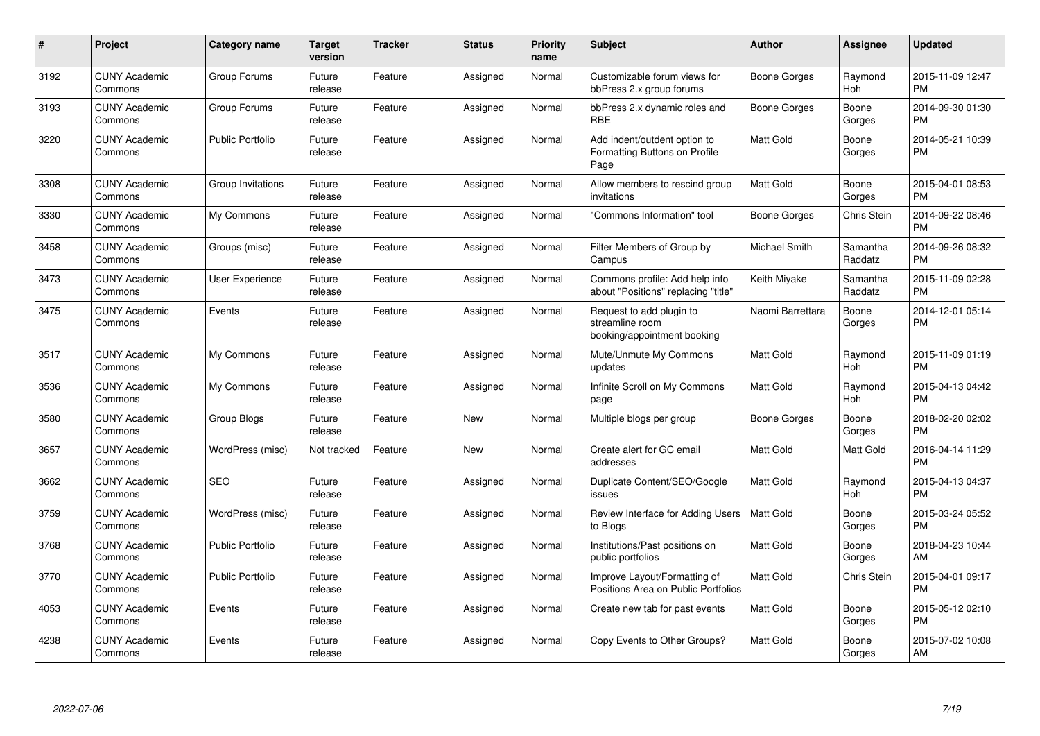| #    | Project                         | Category name           | Target<br>version | <b>Tracker</b> | <b>Status</b> | <b>Priority</b><br>name | <b>Subject</b>                                                             | Author               | <b>Assignee</b>     | <b>Updated</b>                |
|------|---------------------------------|-------------------------|-------------------|----------------|---------------|-------------------------|----------------------------------------------------------------------------|----------------------|---------------------|-------------------------------|
| 3192 | <b>CUNY Academic</b><br>Commons | Group Forums            | Future<br>release | Feature        | Assigned      | Normal                  | Customizable forum views for<br>bbPress 2.x group forums                   | Boone Gorges         | Raymond<br>Hoh      | 2015-11-09 12:47<br><b>PM</b> |
| 3193 | <b>CUNY Academic</b><br>Commons | Group Forums            | Future<br>release | Feature        | Assigned      | Normal                  | bbPress 2.x dynamic roles and<br><b>RBE</b>                                | Boone Gorges         | Boone<br>Gorges     | 2014-09-30 01:30<br><b>PM</b> |
| 3220 | <b>CUNY Academic</b><br>Commons | <b>Public Portfolio</b> | Future<br>release | Feature        | Assigned      | Normal                  | Add indent/outdent option to<br>Formatting Buttons on Profile<br>Page      | <b>Matt Gold</b>     | Boone<br>Gorges     | 2014-05-21 10:39<br><b>PM</b> |
| 3308 | <b>CUNY Academic</b><br>Commons | Group Invitations       | Future<br>release | Feature        | Assigned      | Normal                  | Allow members to rescind group<br>invitations                              | <b>Matt Gold</b>     | Boone<br>Gorges     | 2015-04-01 08:53<br><b>PM</b> |
| 3330 | <b>CUNY Academic</b><br>Commons | My Commons              | Future<br>release | Feature        | Assigned      | Normal                  | 'Commons Information" tool                                                 | Boone Gorges         | Chris Stein         | 2014-09-22 08:46<br><b>PM</b> |
| 3458 | <b>CUNY Academic</b><br>Commons | Groups (misc)           | Future<br>release | Feature        | Assigned      | Normal                  | Filter Members of Group by<br>Campus                                       | <b>Michael Smith</b> | Samantha<br>Raddatz | 2014-09-26 08:32<br><b>PM</b> |
| 3473 | <b>CUNY Academic</b><br>Commons | User Experience         | Future<br>release | Feature        | Assigned      | Normal                  | Commons profile: Add help info<br>about "Positions" replacing "title"      | Keith Miyake         | Samantha<br>Raddatz | 2015-11-09 02:28<br><b>PM</b> |
| 3475 | <b>CUNY Academic</b><br>Commons | Events                  | Future<br>release | Feature        | Assigned      | Normal                  | Request to add plugin to<br>streamline room<br>booking/appointment booking | Naomi Barrettara     | Boone<br>Gorges     | 2014-12-01 05:14<br><b>PM</b> |
| 3517 | <b>CUNY Academic</b><br>Commons | My Commons              | Future<br>release | Feature        | Assigned      | Normal                  | Mute/Unmute My Commons<br>updates                                          | <b>Matt Gold</b>     | Raymond<br>Hoh      | 2015-11-09 01:19<br><b>PM</b> |
| 3536 | <b>CUNY Academic</b><br>Commons | My Commons              | Future<br>release | Feature        | Assigned      | Normal                  | Infinite Scroll on My Commons<br>page                                      | <b>Matt Gold</b>     | Raymond<br>Hoh      | 2015-04-13 04:42<br><b>PM</b> |
| 3580 | <b>CUNY Academic</b><br>Commons | Group Blogs             | Future<br>release | Feature        | <b>New</b>    | Normal                  | Multiple blogs per group                                                   | Boone Gorges         | Boone<br>Gorges     | 2018-02-20 02:02<br><b>PM</b> |
| 3657 | <b>CUNY Academic</b><br>Commons | WordPress (misc)        | Not tracked       | Feature        | New           | Normal                  | Create alert for GC email<br>addresses                                     | <b>Matt Gold</b>     | Matt Gold           | 2016-04-14 11:29<br><b>PM</b> |
| 3662 | <b>CUNY Academic</b><br>Commons | <b>SEO</b>              | Future<br>release | Feature        | Assigned      | Normal                  | Duplicate Content/SEO/Google<br>issues                                     | <b>Matt Gold</b>     | Raymond<br>Hoh      | 2015-04-13 04:37<br><b>PM</b> |
| 3759 | <b>CUNY Academic</b><br>Commons | WordPress (misc)        | Future<br>release | Feature        | Assigned      | Normal                  | Review Interface for Adding Users<br>to Blogs                              | Matt Gold            | Boone<br>Gorges     | 2015-03-24 05:52<br><b>PM</b> |
| 3768 | <b>CUNY Academic</b><br>Commons | <b>Public Portfolio</b> | Future<br>release | Feature        | Assigned      | Normal                  | Institutions/Past positions on<br>public portfolios                        | <b>Matt Gold</b>     | Boone<br>Gorges     | 2018-04-23 10:44<br>AM        |
| 3770 | <b>CUNY Academic</b><br>Commons | <b>Public Portfolio</b> | Future<br>release | Feature        | Assigned      | Normal                  | Improve Layout/Formatting of<br>Positions Area on Public Portfolios        | Matt Gold            | Chris Stein         | 2015-04-01 09:17<br><b>PM</b> |
| 4053 | <b>CUNY Academic</b><br>Commons | Events                  | Future<br>release | Feature        | Assigned      | Normal                  | Create new tab for past events                                             | <b>Matt Gold</b>     | Boone<br>Gorges     | 2015-05-12 02:10<br><b>PM</b> |
| 4238 | <b>CUNY Academic</b><br>Commons | Events                  | Future<br>release | Feature        | Assigned      | Normal                  | Copy Events to Other Groups?                                               | <b>Matt Gold</b>     | Boone<br>Gorges     | 2015-07-02 10:08<br>AM        |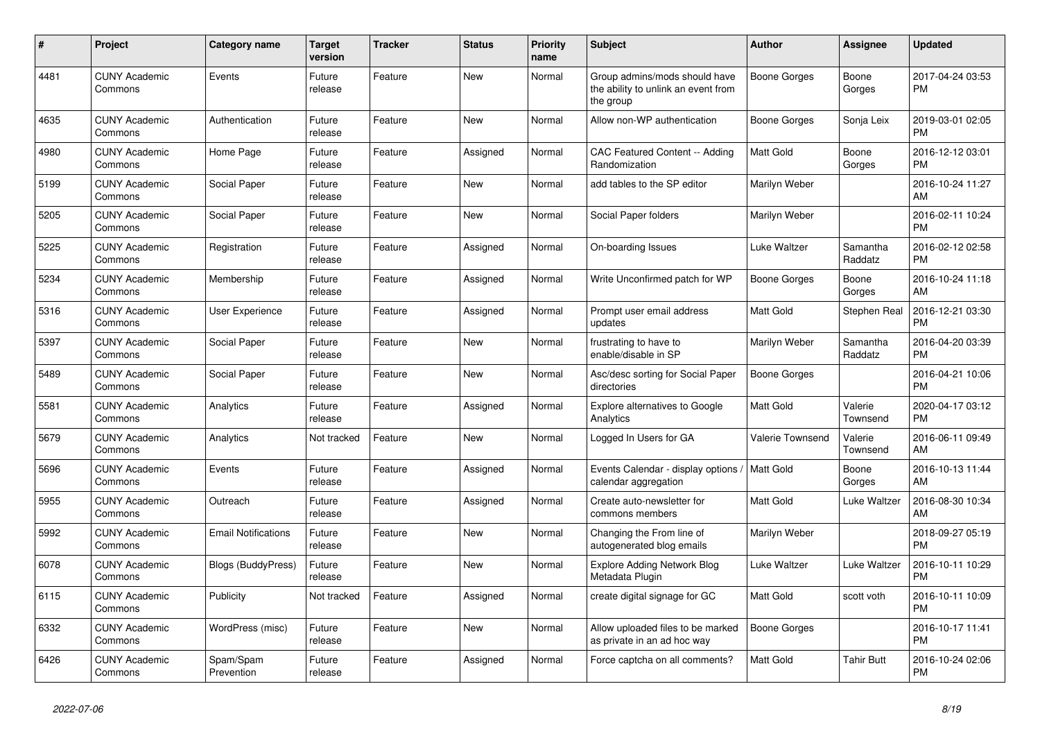| #    | <b>Project</b>                  | <b>Category name</b>       | <b>Target</b><br>version | <b>Tracker</b> | <b>Status</b> | <b>Priority</b><br>name | <b>Subject</b>                                                                    | <b>Author</b>           | <b>Assignee</b>     | <b>Updated</b>                |
|------|---------------------------------|----------------------------|--------------------------|----------------|---------------|-------------------------|-----------------------------------------------------------------------------------|-------------------------|---------------------|-------------------------------|
| 4481 | <b>CUNY Academic</b><br>Commons | Events                     | Future<br>release        | Feature        | New           | Normal                  | Group admins/mods should have<br>the ability to unlink an event from<br>the group | Boone Gorges            | Boone<br>Gorges     | 2017-04-24 03:53<br><b>PM</b> |
| 4635 | <b>CUNY Academic</b><br>Commons | Authentication             | Future<br>release        | Feature        | New           | Normal                  | Allow non-WP authentication                                                       | Boone Gorges            | Sonja Leix          | 2019-03-01 02:05<br><b>PM</b> |
| 4980 | <b>CUNY Academic</b><br>Commons | Home Page                  | Future<br>release        | Feature        | Assigned      | Normal                  | CAC Featured Content -- Adding<br>Randomization                                   | <b>Matt Gold</b>        | Boone<br>Gorges     | 2016-12-12 03:01<br><b>PM</b> |
| 5199 | <b>CUNY Academic</b><br>Commons | Social Paper               | Future<br>release        | Feature        | <b>New</b>    | Normal                  | add tables to the SP editor                                                       | Marilyn Weber           |                     | 2016-10-24 11:27<br>AM        |
| 5205 | <b>CUNY Academic</b><br>Commons | Social Paper               | Future<br>release        | Feature        | New           | Normal                  | Social Paper folders                                                              | Marilyn Weber           |                     | 2016-02-11 10:24<br><b>PM</b> |
| 5225 | <b>CUNY Academic</b><br>Commons | Registration               | Future<br>release        | Feature        | Assigned      | Normal                  | On-boarding Issues                                                                | Luke Waltzer            | Samantha<br>Raddatz | 2016-02-12 02:58<br><b>PM</b> |
| 5234 | <b>CUNY Academic</b><br>Commons | Membership                 | Future<br>release        | Feature        | Assigned      | Normal                  | Write Unconfirmed patch for WP                                                    | Boone Gorges            | Boone<br>Gorges     | 2016-10-24 11:18<br>AM        |
| 5316 | <b>CUNY Academic</b><br>Commons | User Experience            | Future<br>release        | Feature        | Assigned      | Normal                  | Prompt user email address<br>updates                                              | <b>Matt Gold</b>        | Stephen Real        | 2016-12-21 03:30<br><b>PM</b> |
| 5397 | <b>CUNY Academic</b><br>Commons | Social Paper               | Future<br>release        | Feature        | New           | Normal                  | frustrating to have to<br>enable/disable in SP                                    | Marilyn Weber           | Samantha<br>Raddatz | 2016-04-20 03:39<br><b>PM</b> |
| 5489 | <b>CUNY Academic</b><br>Commons | Social Paper               | Future<br>release        | Feature        | <b>New</b>    | Normal                  | Asc/desc sorting for Social Paper<br>directories                                  | <b>Boone Gorges</b>     |                     | 2016-04-21 10:06<br><b>PM</b> |
| 5581 | <b>CUNY Academic</b><br>Commons | Analytics                  | Future<br>release        | Feature        | Assigned      | Normal                  | <b>Explore alternatives to Google</b><br>Analytics                                | <b>Matt Gold</b>        | Valerie<br>Townsend | 2020-04-17 03:12<br><b>PM</b> |
| 5679 | <b>CUNY Academic</b><br>Commons | Analytics                  | Not tracked              | Feature        | New           | Normal                  | Logged In Users for GA                                                            | <b>Valerie Townsend</b> | Valerie<br>Townsend | 2016-06-11 09:49<br>AM        |
| 5696 | <b>CUNY Academic</b><br>Commons | Events                     | Future<br>release        | Feature        | Assigned      | Normal                  | Events Calendar - display options.<br>calendar aggregation                        | Matt Gold               | Boone<br>Gorges     | 2016-10-13 11:44<br>AM        |
| 5955 | <b>CUNY Academic</b><br>Commons | Outreach                   | Future<br>release        | Feature        | Assigned      | Normal                  | Create auto-newsletter for<br>commons members                                     | <b>Matt Gold</b>        | Luke Waltzer        | 2016-08-30 10:34<br>AM        |
| 5992 | <b>CUNY Academic</b><br>Commons | <b>Email Notifications</b> | Future<br>release        | Feature        | New           | Normal                  | Changing the From line of<br>autogenerated blog emails                            | Marilyn Weber           |                     | 2018-09-27 05:19<br><b>PM</b> |
| 6078 | <b>CUNY Academic</b><br>Commons | Blogs (BuddyPress)         | Future<br>release        | Feature        | <b>New</b>    | Normal                  | <b>Explore Adding Network Blog</b><br>Metadata Plugin                             | <b>Luke Waltzer</b>     | Luke Waltzer        | 2016-10-11 10:29<br><b>PM</b> |
| 6115 | <b>CUNY Academic</b><br>Commons | Publicity                  | Not tracked              | Feature        | Assigned      | Normal                  | create digital signage for GC                                                     | <b>Matt Gold</b>        | scott voth          | 2016-10-11 10:09<br><b>PM</b> |
| 6332 | <b>CUNY Academic</b><br>Commons | WordPress (misc)           | Future<br>release        | Feature        | New           | Normal                  | Allow uploaded files to be marked<br>as private in an ad hoc way                  | <b>Boone Gorges</b>     |                     | 2016-10-17 11:41<br><b>PM</b> |
| 6426 | <b>CUNY Academic</b><br>Commons | Spam/Spam<br>Prevention    | Future<br>release        | Feature        | Assigned      | Normal                  | Force captcha on all comments?                                                    | <b>Matt Gold</b>        | Tahir Butt          | 2016-10-24 02:06<br><b>PM</b> |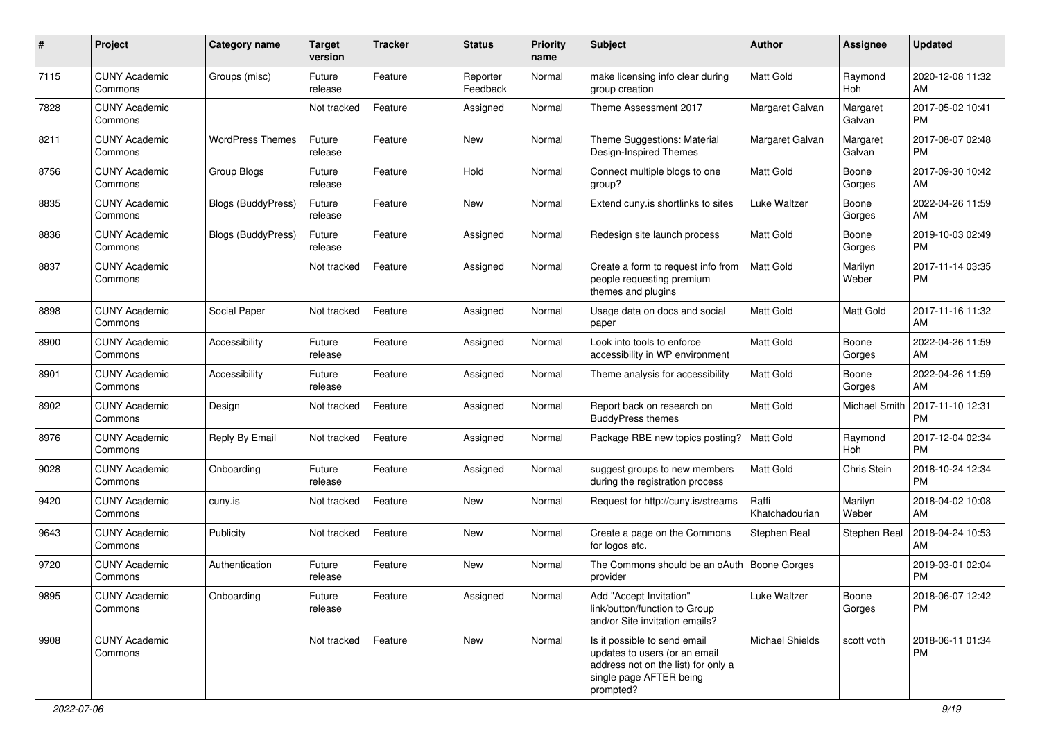| #    | Project                         | <b>Category name</b>      | <b>Target</b><br>version | <b>Tracker</b> | <b>Status</b>        | <b>Priority</b><br>name | <b>Subject</b>                                                                                                                               | Author                  | <b>Assignee</b>      | <b>Updated</b>                |
|------|---------------------------------|---------------------------|--------------------------|----------------|----------------------|-------------------------|----------------------------------------------------------------------------------------------------------------------------------------------|-------------------------|----------------------|-------------------------------|
| 7115 | <b>CUNY Academic</b><br>Commons | Groups (misc)             | Future<br>release        | Feature        | Reporter<br>Feedback | Normal                  | make licensing info clear during<br>group creation                                                                                           | <b>Matt Gold</b>        | Raymond<br>Hoh       | 2020-12-08 11:32<br>AM        |
| 7828 | <b>CUNY Academic</b><br>Commons |                           | Not tracked              | Feature        | Assigned             | Normal                  | Theme Assessment 2017                                                                                                                        | Margaret Galvan         | Margaret<br>Galvan   | 2017-05-02 10:41<br><b>PM</b> |
| 8211 | <b>CUNY Academic</b><br>Commons | <b>WordPress Themes</b>   | Future<br>release        | Feature        | New                  | Normal                  | Theme Suggestions: Material<br>Design-Inspired Themes                                                                                        | Margaret Galvan         | Margaret<br>Galvan   | 2017-08-07 02:48<br><b>PM</b> |
| 8756 | <b>CUNY Academic</b><br>Commons | <b>Group Blogs</b>        | Future<br>release        | Feature        | Hold                 | Normal                  | Connect multiple blogs to one<br>group?                                                                                                      | <b>Matt Gold</b>        | Boone<br>Gorges      | 2017-09-30 10:42<br>AM        |
| 8835 | <b>CUNY Academic</b><br>Commons | Blogs (BuddyPress)        | Future<br>release        | Feature        | New                  | Normal                  | Extend cuny.is shortlinks to sites                                                                                                           | Luke Waltzer            | Boone<br>Gorges      | 2022-04-26 11:59<br>AM        |
| 8836 | <b>CUNY Academic</b><br>Commons | <b>Blogs (BuddyPress)</b> | Future<br>release        | Feature        | Assigned             | Normal                  | Redesign site launch process                                                                                                                 | <b>Matt Gold</b>        | Boone<br>Gorges      | 2019-10-03 02:49<br><b>PM</b> |
| 8837 | <b>CUNY Academic</b><br>Commons |                           | Not tracked              | Feature        | Assigned             | Normal                  | Create a form to request info from<br>people requesting premium<br>themes and plugins                                                        | <b>Matt Gold</b>        | Marilyn<br>Weber     | 2017-11-14 03:35<br><b>PM</b> |
| 8898 | <b>CUNY Academic</b><br>Commons | Social Paper              | Not tracked              | Feature        | Assigned             | Normal                  | Usage data on docs and social<br>paper                                                                                                       | <b>Matt Gold</b>        | Matt Gold            | 2017-11-16 11:32<br>AM        |
| 8900 | <b>CUNY Academic</b><br>Commons | Accessibility             | Future<br>release        | Feature        | Assigned             | Normal                  | Look into tools to enforce<br>accessibility in WP environment                                                                                | <b>Matt Gold</b>        | Boone<br>Gorges      | 2022-04-26 11:59<br>AM        |
| 8901 | <b>CUNY Academic</b><br>Commons | Accessibility             | Future<br>release        | Feature        | Assigned             | Normal                  | Theme analysis for accessibility                                                                                                             | <b>Matt Gold</b>        | Boone<br>Gorges      | 2022-04-26 11:59<br>AM        |
| 8902 | <b>CUNY Academic</b><br>Commons | Design                    | Not tracked              | Feature        | Assigned             | Normal                  | Report back on research on<br><b>BuddyPress themes</b>                                                                                       | Matt Gold               | <b>Michael Smith</b> | 2017-11-10 12:31<br><b>PM</b> |
| 8976 | <b>CUNY Academic</b><br>Commons | Reply By Email            | Not tracked              | Feature        | Assigned             | Normal                  | Package RBE new topics posting?                                                                                                              | <b>Matt Gold</b>        | Raymond<br>Hoh       | 2017-12-04 02:34<br><b>PM</b> |
| 9028 | <b>CUNY Academic</b><br>Commons | Onboarding                | Future<br>release        | Feature        | Assigned             | Normal                  | suggest groups to new members<br>during the registration process                                                                             | <b>Matt Gold</b>        | Chris Stein          | 2018-10-24 12:34<br><b>PM</b> |
| 9420 | <b>CUNY Academic</b><br>Commons | cuny.is                   | Not tracked              | Feature        | New                  | Normal                  | Request for http://cuny.is/streams                                                                                                           | Raffi<br>Khatchadourian | Marilyn<br>Weber     | 2018-04-02 10:08<br>AM        |
| 9643 | <b>CUNY Academic</b><br>Commons | Publicity                 | Not tracked              | Feature        | New                  | Normal                  | Create a page on the Commons<br>for logos etc.                                                                                               | Stephen Real            | Stephen Real         | 2018-04-24 10:53<br>AM        |
| 9720 | <b>CUNY Academic</b><br>Commons | Authentication            | Future<br>release        | Feature        | New                  | Normal                  | The Commons should be an oAuth   Boone Gorges<br>provider                                                                                    |                         |                      | 2019-03-01 02:04<br><b>PM</b> |
| 9895 | <b>CUNY Academic</b><br>Commons | Onboarding                | Future<br>release        | Feature        | Assigned             | Normal                  | Add "Accept Invitation"<br>link/button/function to Group<br>and/or Site invitation emails?                                                   | Luke Waltzer            | Boone<br>Gorges      | 2018-06-07 12:42<br>PM        |
| 9908 | <b>CUNY Academic</b><br>Commons |                           | Not tracked              | Feature        | New                  | Normal                  | Is it possible to send email<br>updates to users (or an email<br>address not on the list) for only a<br>single page AFTER being<br>prompted? | <b>Michael Shields</b>  | scott voth           | 2018-06-11 01:34<br><b>PM</b> |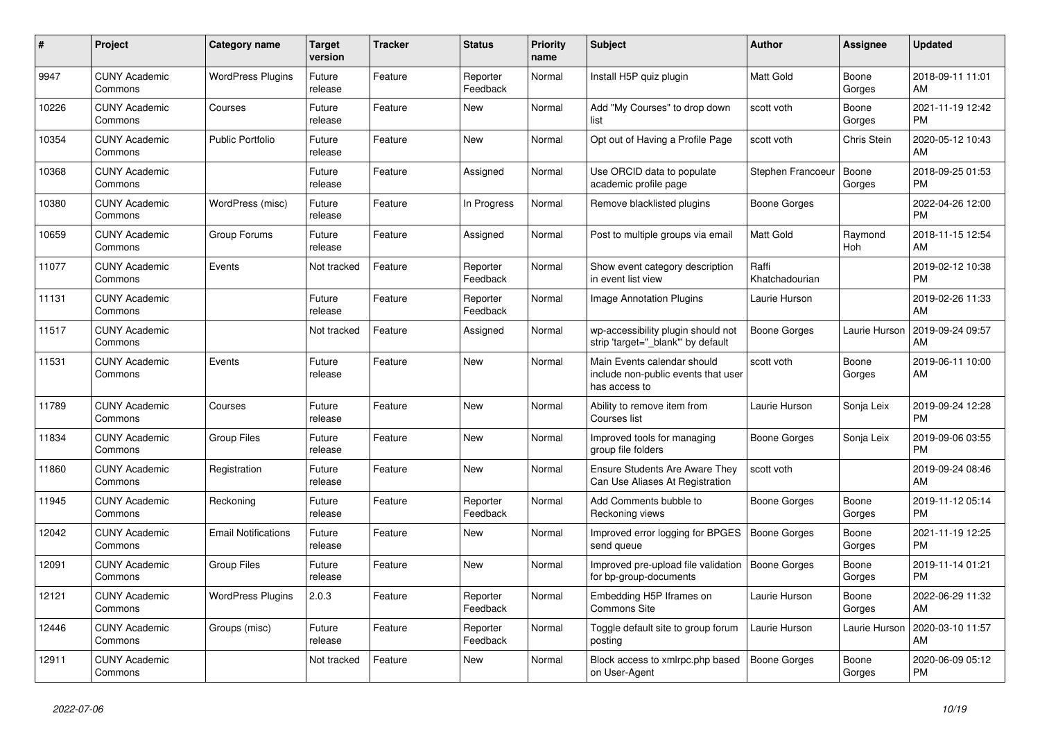| #     | <b>Project</b>                  | <b>Category name</b>       | <b>Target</b><br>version | <b>Tracker</b> | <b>Status</b>        | <b>Priority</b><br>name | <b>Subject</b>                                                                      | <b>Author</b>           | Assignee        | <b>Updated</b>                |
|-------|---------------------------------|----------------------------|--------------------------|----------------|----------------------|-------------------------|-------------------------------------------------------------------------------------|-------------------------|-----------------|-------------------------------|
| 9947  | <b>CUNY Academic</b><br>Commons | <b>WordPress Plugins</b>   | Future<br>release        | Feature        | Reporter<br>Feedback | Normal                  | Install H5P quiz plugin                                                             | <b>Matt Gold</b>        | Boone<br>Gorges | 2018-09-11 11:01<br>AM        |
| 10226 | <b>CUNY Academic</b><br>Commons | Courses                    | Future<br>release        | Feature        | <b>New</b>           | Normal                  | Add "My Courses" to drop down<br>list                                               | scott voth              | Boone<br>Gorges | 2021-11-19 12:42<br><b>PM</b> |
| 10354 | <b>CUNY Academic</b><br>Commons | <b>Public Portfolio</b>    | Future<br>release        | Feature        | <b>New</b>           | Normal                  | Opt out of Having a Profile Page                                                    | scott voth              | Chris Stein     | 2020-05-12 10:43<br>AM        |
| 10368 | <b>CUNY Academic</b><br>Commons |                            | Future<br>release        | Feature        | Assigned             | Normal                  | Use ORCID data to populate<br>academic profile page                                 | Stephen Francoeur       | Boone<br>Gorges | 2018-09-25 01:53<br><b>PM</b> |
| 10380 | <b>CUNY Academic</b><br>Commons | WordPress (misc)           | Future<br>release        | Feature        | In Progress          | Normal                  | Remove blacklisted plugins                                                          | Boone Gorges            |                 | 2022-04-26 12:00<br><b>PM</b> |
| 10659 | <b>CUNY Academic</b><br>Commons | Group Forums               | Future<br>release        | Feature        | Assigned             | Normal                  | Post to multiple groups via email                                                   | <b>Matt Gold</b>        | Raymond<br>Hoh  | 2018-11-15 12:54<br>AM        |
| 11077 | <b>CUNY Academic</b><br>Commons | Events                     | Not tracked              | Feature        | Reporter<br>Feedback | Normal                  | Show event category description<br>in event list view                               | Raffi<br>Khatchadourian |                 | 2019-02-12 10:38<br><b>PM</b> |
| 11131 | <b>CUNY Academic</b><br>Commons |                            | Future<br>release        | Feature        | Reporter<br>Feedback | Normal                  | <b>Image Annotation Plugins</b>                                                     | Laurie Hurson           |                 | 2019-02-26 11:33<br>AM        |
| 11517 | <b>CUNY Academic</b><br>Commons |                            | Not tracked              | Feature        | Assigned             | Normal                  | wp-accessibility plugin should not<br>strip 'target=" blank" by default             | Boone Gorges            | Laurie Hurson   | 2019-09-24 09:57<br>AM        |
| 11531 | <b>CUNY Academic</b><br>Commons | Events                     | Future<br>release        | Feature        | <b>New</b>           | Normal                  | Main Events calendar should<br>include non-public events that user<br>has access to | scott voth              | Boone<br>Gorges | 2019-06-11 10:00<br>AM        |
| 11789 | <b>CUNY Academic</b><br>Commons | Courses                    | Future<br>release        | Feature        | New                  | Normal                  | Ability to remove item from<br>Courses list                                         | Laurie Hurson           | Sonja Leix      | 2019-09-24 12:28<br><b>PM</b> |
| 11834 | <b>CUNY Academic</b><br>Commons | <b>Group Files</b>         | Future<br>release        | Feature        | <b>New</b>           | Normal                  | Improved tools for managing<br>group file folders                                   | Boone Gorges            | Sonja Leix      | 2019-09-06 03:55<br><b>PM</b> |
| 11860 | <b>CUNY Academic</b><br>Commons | Registration               | Future<br>release        | Feature        | <b>New</b>           | Normal                  | <b>Ensure Students Are Aware They</b><br>Can Use Aliases At Registration            | scott voth              |                 | 2019-09-24 08:46<br>AM        |
| 11945 | <b>CUNY Academic</b><br>Commons | Reckoning                  | Future<br>release        | Feature        | Reporter<br>Feedback | Normal                  | Add Comments bubble to<br>Reckoning views                                           | Boone Gorges            | Boone<br>Gorges | 2019-11-12 05:14<br><b>PM</b> |
| 12042 | <b>CUNY Academic</b><br>Commons | <b>Email Notifications</b> | Future<br>release        | Feature        | New                  | Normal                  | Improved error logging for BPGES<br>send queue                                      | <b>Boone Gorges</b>     | Boone<br>Gorges | 2021-11-19 12:25<br><b>PM</b> |
| 12091 | <b>CUNY Academic</b><br>Commons | <b>Group Files</b>         | Future<br>release        | Feature        | <b>New</b>           | Normal                  | Improved pre-upload file validation<br>for bp-group-documents                       | Boone Gorges            | Boone<br>Gorges | 2019-11-14 01:21<br><b>PM</b> |
| 12121 | <b>CUNY Academic</b><br>Commons | <b>WordPress Plugins</b>   | 2.0.3                    | Feature        | Reporter<br>Feedback | Normal                  | Embedding H5P Iframes on<br><b>Commons Site</b>                                     | Laurie Hurson           | Boone<br>Gorges | 2022-06-29 11:32<br>AM        |
| 12446 | <b>CUNY Academic</b><br>Commons | Groups (misc)              | Future<br>release        | Feature        | Reporter<br>Feedback | Normal                  | Toggle default site to group forum<br>posting                                       | Laurie Hurson           | Laurie Hurson   | 2020-03-10 11:57<br>AM        |
| 12911 | <b>CUNY Academic</b><br>Commons |                            | Not tracked              | Feature        | <b>New</b>           | Normal                  | Block access to xmlrpc.php based<br>on User-Agent                                   | Boone Gorges            | Boone<br>Gorges | 2020-06-09 05:12<br><b>PM</b> |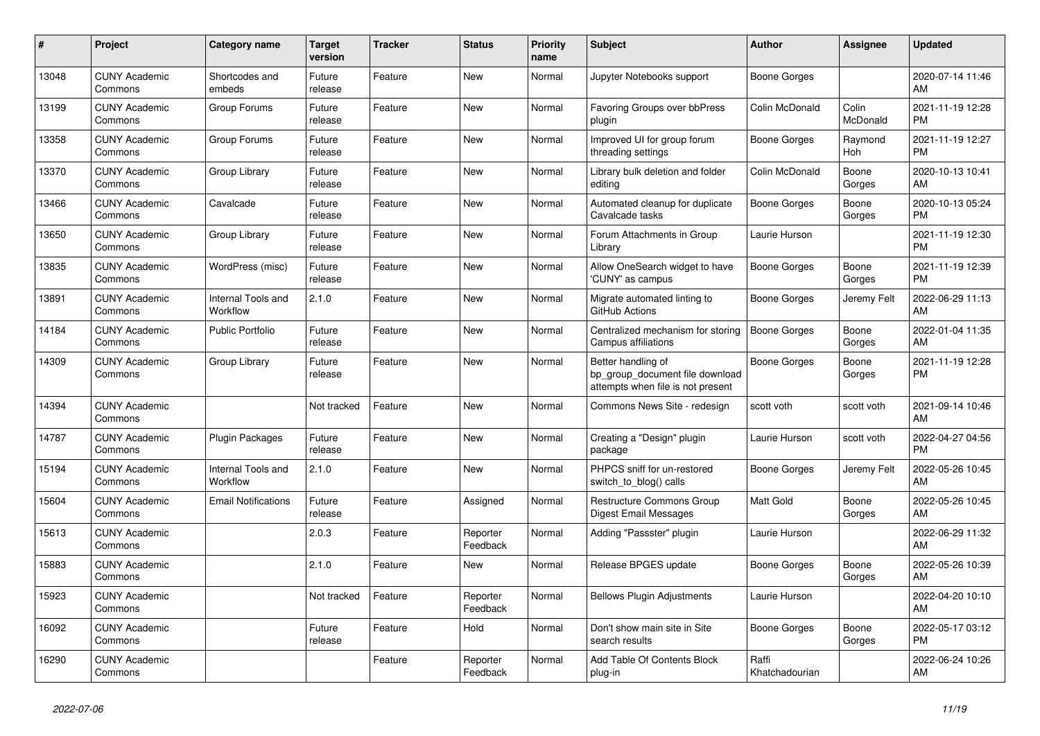| #     | <b>Project</b>                  | <b>Category name</b>           | <b>Target</b><br>version | <b>Tracker</b> | <b>Status</b>        | <b>Priority</b><br>name | <b>Subject</b>                                                                             | <b>Author</b>           | Assignee          | <b>Updated</b>                |
|-------|---------------------------------|--------------------------------|--------------------------|----------------|----------------------|-------------------------|--------------------------------------------------------------------------------------------|-------------------------|-------------------|-------------------------------|
| 13048 | <b>CUNY Academic</b><br>Commons | Shortcodes and<br>embeds       | Future<br>release        | Feature        | New                  | Normal                  | Jupyter Notebooks support                                                                  | Boone Gorges            |                   | 2020-07-14 11:46<br>AM        |
| 13199 | <b>CUNY Academic</b><br>Commons | Group Forums                   | Future<br>release        | Feature        | New                  | Normal                  | Favoring Groups over bbPress<br>plugin                                                     | Colin McDonald          | Colin<br>McDonald | 2021-11-19 12:28<br><b>PM</b> |
| 13358 | <b>CUNY Academic</b><br>Commons | Group Forums                   | Future<br>release        | Feature        | <b>New</b>           | Normal                  | Improved UI for group forum<br>threading settings                                          | Boone Gorges            | Raymond<br>Hoh    | 2021-11-19 12:27<br><b>PM</b> |
| 13370 | <b>CUNY Academic</b><br>Commons | Group Library                  | Future<br>release        | Feature        | New                  | Normal                  | Library bulk deletion and folder<br>editing                                                | Colin McDonald          | Boone<br>Gorges   | 2020-10-13 10:41<br>AM        |
| 13466 | <b>CUNY Academic</b><br>Commons | Cavalcade                      | Future<br>release        | Feature        | New                  | Normal                  | Automated cleanup for duplicate<br>Cavalcade tasks                                         | <b>Boone Gorges</b>     | Boone<br>Gorges   | 2020-10-13 05:24<br><b>PM</b> |
| 13650 | <b>CUNY Academic</b><br>Commons | Group Library                  | Future<br>release        | Feature        | <b>New</b>           | Normal                  | Forum Attachments in Group<br>Librarv                                                      | Laurie Hurson           |                   | 2021-11-19 12:30<br><b>PM</b> |
| 13835 | <b>CUNY Academic</b><br>Commons | WordPress (misc)               | Future<br>release        | Feature        | <b>New</b>           | Normal                  | Allow OneSearch widget to have<br>'CUNY' as campus                                         | <b>Boone Gorges</b>     | Boone<br>Gorges   | 2021-11-19 12:39<br><b>PM</b> |
| 13891 | <b>CUNY Academic</b><br>Commons | Internal Tools and<br>Workflow | 2.1.0                    | Feature        | New                  | Normal                  | Migrate automated linting to<br>GitHub Actions                                             | <b>Boone Gorges</b>     | Jeremy Felt       | 2022-06-29 11:13<br>AM        |
| 14184 | <b>CUNY Academic</b><br>Commons | <b>Public Portfolio</b>        | Future<br>release        | Feature        | <b>New</b>           | Normal                  | Centralized mechanism for storing<br><b>Campus affiliations</b>                            | Boone Gorges            | Boone<br>Gorges   | 2022-01-04 11:35<br>AM        |
| 14309 | <b>CUNY Academic</b><br>Commons | Group Library                  | Future<br>release        | Feature        | <b>New</b>           | Normal                  | Better handling of<br>bp group document file download<br>attempts when file is not present | Boone Gorges            | Boone<br>Gorges   | 2021-11-19 12:28<br><b>PM</b> |
| 14394 | <b>CUNY Academic</b><br>Commons |                                | Not tracked              | Feature        | New                  | Normal                  | Commons News Site - redesign                                                               | scott voth              | scott voth        | 2021-09-14 10:46<br>AM        |
| 14787 | <b>CUNY Academic</b><br>Commons | Plugin Packages                | Future<br>release        | Feature        | New                  | Normal                  | Creating a "Design" plugin<br>package                                                      | Laurie Hurson           | scott voth        | 2022-04-27 04:56<br><b>PM</b> |
| 15194 | <b>CUNY Academic</b><br>Commons | Internal Tools and<br>Workflow | 2.1.0                    | Feature        | <b>New</b>           | Normal                  | PHPCS sniff for un-restored<br>switch_to_blog() calls                                      | Boone Gorges            | Jeremy Felt       | 2022-05-26 10:45<br>AM        |
| 15604 | <b>CUNY Academic</b><br>Commons | <b>Email Notifications</b>     | Future<br>release        | Feature        | Assigned             | Normal                  | <b>Restructure Commons Group</b><br>Digest Email Messages                                  | Matt Gold               | Boone<br>Gorges   | 2022-05-26 10:45<br>AM        |
| 15613 | <b>CUNY Academic</b><br>Commons |                                | 2.0.3                    | Feature        | Reporter<br>Feedback | Normal                  | Adding "Passster" plugin                                                                   | Laurie Hurson           |                   | 2022-06-29 11:32<br>AM        |
| 15883 | <b>CUNY Academic</b><br>Commons |                                | 2.1.0                    | Feature        | New                  | Normal                  | Release BPGES update                                                                       | Boone Gorges            | Boone<br>Gorges   | 2022-05-26 10:39<br>AM        |
| 15923 | <b>CUNY Academic</b><br>Commons |                                | Not tracked              | Feature        | Reporter<br>Feedback | Normal                  | <b>Bellows Plugin Adjustments</b>                                                          | Laurie Hurson           |                   | 2022-04-20 10:10<br>AM        |
| 16092 | <b>CUNY Academic</b><br>Commons |                                | Future<br>release        | Feature        | Hold                 | Normal                  | Don't show main site in Site<br>search results                                             | Boone Gorges            | Boone<br>Gorges   | 2022-05-17 03:12<br><b>PM</b> |
| 16290 | <b>CUNY Academic</b><br>Commons |                                |                          | Feature        | Reporter<br>Feedback | Normal                  | Add Table Of Contents Block<br>plug-in                                                     | Raffi<br>Khatchadourian |                   | 2022-06-24 10:26<br>AM        |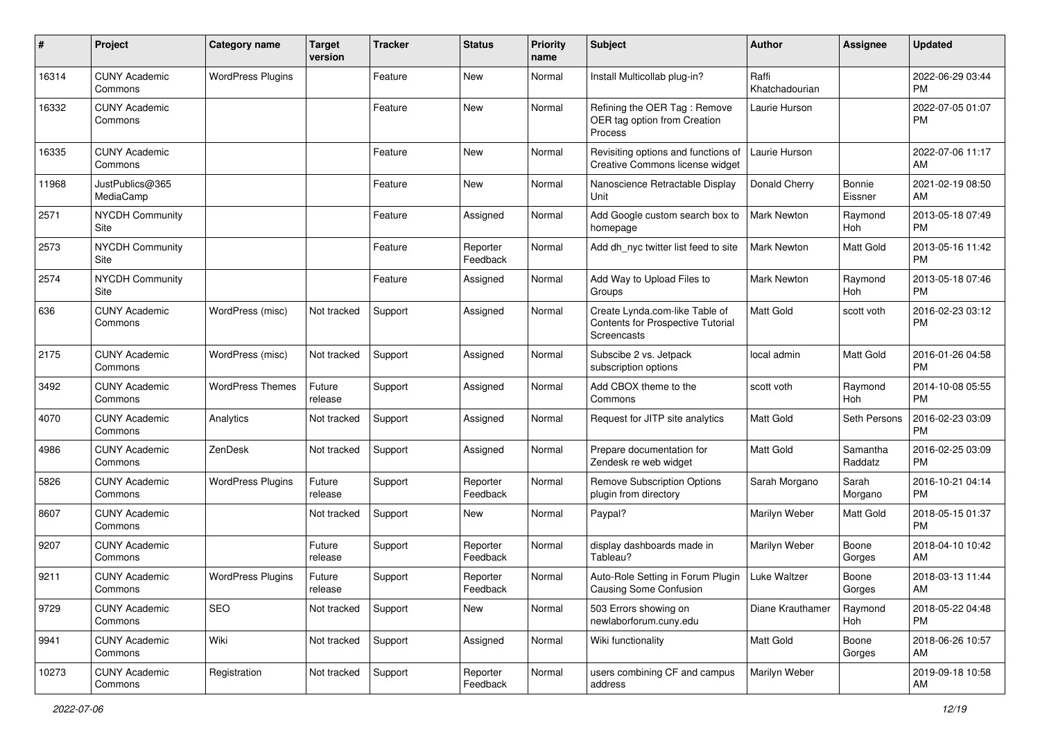| #     | Project                         | <b>Category name</b>     | <b>Target</b><br>version | <b>Tracker</b> | <b>Status</b>        | Priority<br>name | <b>Subject</b>                                                                     | <b>Author</b>           | <b>Assignee</b>     | <b>Updated</b>                |
|-------|---------------------------------|--------------------------|--------------------------|----------------|----------------------|------------------|------------------------------------------------------------------------------------|-------------------------|---------------------|-------------------------------|
| 16314 | <b>CUNY Academic</b><br>Commons | <b>WordPress Plugins</b> |                          | Feature        | <b>New</b>           | Normal           | Install Multicollab plug-in?                                                       | Raffi<br>Khatchadourian |                     | 2022-06-29 03:44<br>PM        |
| 16332 | <b>CUNY Academic</b><br>Commons |                          |                          | Feature        | New                  | Normal           | Refining the OER Tag: Remove<br>OER tag option from Creation<br>Process            | Laurie Hurson           |                     | 2022-07-05 01:07<br><b>PM</b> |
| 16335 | <b>CUNY Academic</b><br>Commons |                          |                          | Feature        | New                  | Normal           | Revisiting options and functions of<br>Creative Commons license widget             | Laurie Hurson           |                     | 2022-07-06 11:17<br>AM        |
| 11968 | JustPublics@365<br>MediaCamp    |                          |                          | Feature        | New                  | Normal           | Nanoscience Retractable Display<br>Unit                                            | Donald Cherry           | Bonnie<br>Eissner   | 2021-02-19 08:50<br>AM        |
| 2571  | <b>NYCDH Community</b><br>Site  |                          |                          | Feature        | Assigned             | Normal           | Add Google custom search box to<br>homepage                                        | Mark Newton             | Raymond<br>Hoh      | 2013-05-18 07:49<br><b>PM</b> |
| 2573  | <b>NYCDH Community</b><br>Site  |                          |                          | Feature        | Reporter<br>Feedback | Normal           | Add dh nyc twitter list feed to site                                               | <b>Mark Newton</b>      | Matt Gold           | 2013-05-16 11:42<br><b>PM</b> |
| 2574  | NYCDH Community<br>Site         |                          |                          | Feature        | Assigned             | Normal           | Add Way to Upload Files to<br>Groups                                               | Mark Newton             | Raymond<br>Hoh      | 2013-05-18 07:46<br><b>PM</b> |
| 636   | <b>CUNY Academic</b><br>Commons | WordPress (misc)         | Not tracked              | Support        | Assigned             | Normal           | Create Lynda.com-like Table of<br>Contents for Prospective Tutorial<br>Screencasts | Matt Gold               | scott voth          | 2016-02-23 03:12<br><b>PM</b> |
| 2175  | <b>CUNY Academic</b><br>Commons | WordPress (misc)         | Not tracked              | Support        | Assigned             | Normal           | Subscibe 2 vs. Jetpack<br>subscription options                                     | local admin             | Matt Gold           | 2016-01-26 04:58<br><b>PM</b> |
| 3492  | <b>CUNY Academic</b><br>Commons | <b>WordPress Themes</b>  | Future<br>release        | Support        | Assigned             | Normal           | Add CBOX theme to the<br>Commons                                                   | scott voth              | Raymond<br>Hoh      | 2014-10-08 05:55<br><b>PM</b> |
| 4070  | <b>CUNY Academic</b><br>Commons | Analytics                | Not tracked              | Support        | Assigned             | Normal           | Request for JITP site analytics                                                    | <b>Matt Gold</b>        | Seth Persons        | 2016-02-23 03:09<br><b>PM</b> |
| 4986  | <b>CUNY Academic</b><br>Commons | ZenDesk                  | Not tracked              | Support        | Assigned             | Normal           | Prepare documentation for<br>Zendesk re web widget                                 | Matt Gold               | Samantha<br>Raddatz | 2016-02-25 03:09<br><b>PM</b> |
| 5826  | <b>CUNY Academic</b><br>Commons | <b>WordPress Plugins</b> | Future<br>release        | Support        | Reporter<br>Feedback | Normal           | <b>Remove Subscription Options</b><br>plugin from directory                        | Sarah Morgano           | Sarah<br>Morgano    | 2016-10-21 04:14<br><b>PM</b> |
| 8607  | <b>CUNY Academic</b><br>Commons |                          | Not tracked              | Support        | New                  | Normal           | Paypal?                                                                            | Marilyn Weber           | Matt Gold           | 2018-05-15 01:37<br><b>PM</b> |
| 9207  | <b>CUNY Academic</b><br>Commons |                          | Future<br>release        | Support        | Reporter<br>Feedback | Normal           | display dashboards made in<br>Tableau?                                             | Marilyn Weber           | Boone<br>Gorges     | 2018-04-10 10:42<br>AM        |
| 9211  | <b>CUNY Academic</b><br>Commons | <b>WordPress Plugins</b> | Future<br>release        | Support        | Reporter<br>Feedback | Normal           | Auto-Role Setting in Forum Plugin   Luke Waltzer<br>Causing Some Confusion         |                         | Boone<br>Gorges     | 2018-03-13 11:44<br>AM        |
| 9729  | <b>CUNY Academic</b><br>Commons | SEO                      | Not tracked              | Support        | New                  | Normal           | 503 Errors showing on<br>newlaborforum.cuny.edu                                    | Diane Krauthamer        | Raymond<br>Hoh      | 2018-05-22 04:48<br><b>PM</b> |
| 9941  | <b>CUNY Academic</b><br>Commons | Wiki                     | Not tracked              | Support        | Assigned             | Normal           | Wiki functionality                                                                 | Matt Gold               | Boone<br>Gorges     | 2018-06-26 10:57<br>AM        |
| 10273 | <b>CUNY Academic</b><br>Commons | Registration             | Not tracked              | Support        | Reporter<br>Feedback | Normal           | users combining CF and campus<br>address                                           | Marilyn Weber           |                     | 2019-09-18 10:58<br>AM        |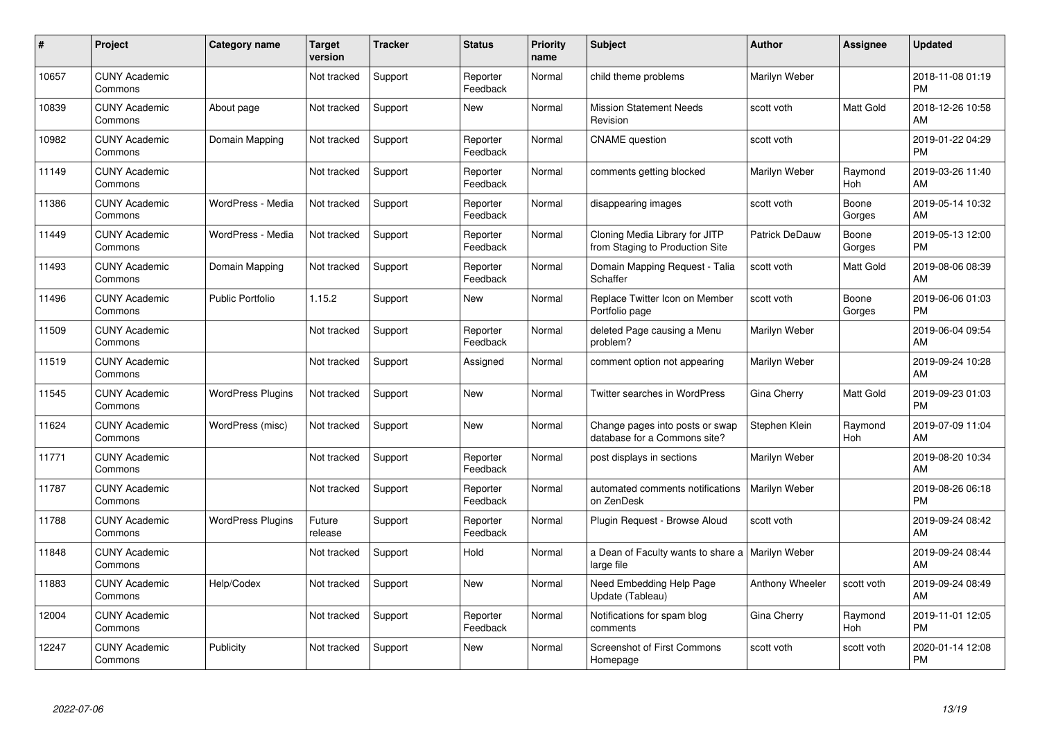| #     | Project                         | Category name            | <b>Target</b><br>version | <b>Tracker</b> | <b>Status</b>        | Priority<br>name | <b>Subject</b>                                                    | <b>Author</b>         | <b>Assignee</b> | <b>Updated</b>                |
|-------|---------------------------------|--------------------------|--------------------------|----------------|----------------------|------------------|-------------------------------------------------------------------|-----------------------|-----------------|-------------------------------|
| 10657 | <b>CUNY Academic</b><br>Commons |                          | Not tracked              | Support        | Reporter<br>Feedback | Normal           | child theme problems                                              | Marilyn Weber         |                 | 2018-11-08 01:19<br><b>PM</b> |
| 10839 | <b>CUNY Academic</b><br>Commons | About page               | Not tracked              | Support        | <b>New</b>           | Normal           | <b>Mission Statement Needs</b><br>Revision                        | scott voth            | Matt Gold       | 2018-12-26 10:58<br>AM        |
| 10982 | <b>CUNY Academic</b><br>Commons | Domain Mapping           | Not tracked              | Support        | Reporter<br>Feedback | Normal           | <b>CNAME</b> question                                             | scott voth            |                 | 2019-01-22 04:29<br><b>PM</b> |
| 11149 | <b>CUNY Academic</b><br>Commons |                          | Not tracked              | Support        | Reporter<br>Feedback | Normal           | comments getting blocked                                          | Marilyn Weber         | Raymond<br>Hoh  | 2019-03-26 11:40<br>AM        |
| 11386 | <b>CUNY Academic</b><br>Commons | WordPress - Media        | Not tracked              | Support        | Reporter<br>Feedback | Normal           | disappearing images                                               | scott voth            | Boone<br>Gorges | 2019-05-14 10:32<br>AM        |
| 11449 | <b>CUNY Academic</b><br>Commons | WordPress - Media        | Not tracked              | Support        | Reporter<br>Feedback | Normal           | Cloning Media Library for JITP<br>from Staging to Production Site | <b>Patrick DeDauw</b> | Boone<br>Gorges | 2019-05-13 12:00<br><b>PM</b> |
| 11493 | <b>CUNY Academic</b><br>Commons | Domain Mapping           | Not tracked              | Support        | Reporter<br>Feedback | Normal           | Domain Mapping Request - Talia<br>Schaffer                        | scott voth            | Matt Gold       | 2019-08-06 08:39<br>AM        |
| 11496 | <b>CUNY Academic</b><br>Commons | <b>Public Portfolio</b>  | 1.15.2                   | Support        | <b>New</b>           | Normal           | Replace Twitter Icon on Member<br>Portfolio page                  | scott voth            | Boone<br>Gorges | 2019-06-06 01:03<br><b>PM</b> |
| 11509 | <b>CUNY Academic</b><br>Commons |                          | Not tracked              | Support        | Reporter<br>Feedback | Normal           | deleted Page causing a Menu<br>problem?                           | Marilyn Weber         |                 | 2019-06-04 09:54<br>AM        |
| 11519 | <b>CUNY Academic</b><br>Commons |                          | Not tracked              | Support        | Assigned             | Normal           | comment option not appearing                                      | Marilyn Weber         |                 | 2019-09-24 10:28<br>AM        |
| 11545 | <b>CUNY Academic</b><br>Commons | <b>WordPress Plugins</b> | Not tracked              | Support        | New                  | Normal           | Twitter searches in WordPress                                     | Gina Cherry           | Matt Gold       | 2019-09-23 01:03<br><b>PM</b> |
| 11624 | <b>CUNY Academic</b><br>Commons | WordPress (misc)         | Not tracked              | Support        | New                  | Normal           | Change pages into posts or swap<br>database for a Commons site?   | Stephen Klein         | Raymond<br>Hoh  | 2019-07-09 11:04<br>AM        |
| 11771 | <b>CUNY Academic</b><br>Commons |                          | Not tracked              | Support        | Reporter<br>Feedback | Normal           | post displays in sections                                         | Marilyn Weber         |                 | 2019-08-20 10:34<br>AM        |
| 11787 | <b>CUNY Academic</b><br>Commons |                          | Not tracked              | Support        | Reporter<br>Feedback | Normal           | automated comments notifications<br>on ZenDesk                    | Marilyn Weber         |                 | 2019-08-26 06:18<br><b>PM</b> |
| 11788 | <b>CUNY Academic</b><br>Commons | <b>WordPress Plugins</b> | Future<br>release        | Support        | Reporter<br>Feedback | Normal           | Plugin Request - Browse Aloud                                     | scott voth            |                 | 2019-09-24 08:42<br>AM        |
| 11848 | <b>CUNY Academic</b><br>Commons |                          | Not tracked              | Support        | Hold                 | Normal           | a Dean of Faculty wants to share a   Marilyn Weber<br>large file  |                       |                 | 2019-09-24 08:44<br>AM        |
| 11883 | <b>CUNY Academic</b><br>Commons | Help/Codex               | Not tracked              | Support        | <b>New</b>           | Normal           | Need Embedding Help Page<br>Update (Tableau)                      | Anthony Wheeler       | scott voth      | 2019-09-24 08:49<br>AM        |
| 12004 | <b>CUNY Academic</b><br>Commons |                          | Not tracked              | Support        | Reporter<br>Feedback | Normal           | Notifications for spam blog<br>comments                           | Gina Cherry           | Raymond<br>Hoh  | 2019-11-01 12:05<br><b>PM</b> |
| 12247 | <b>CUNY Academic</b><br>Commons | Publicity                | Not tracked              | Support        | <b>New</b>           | Normal           | <b>Screenshot of First Commons</b><br>Homepage                    | scott voth            | scott voth      | 2020-01-14 12:08<br><b>PM</b> |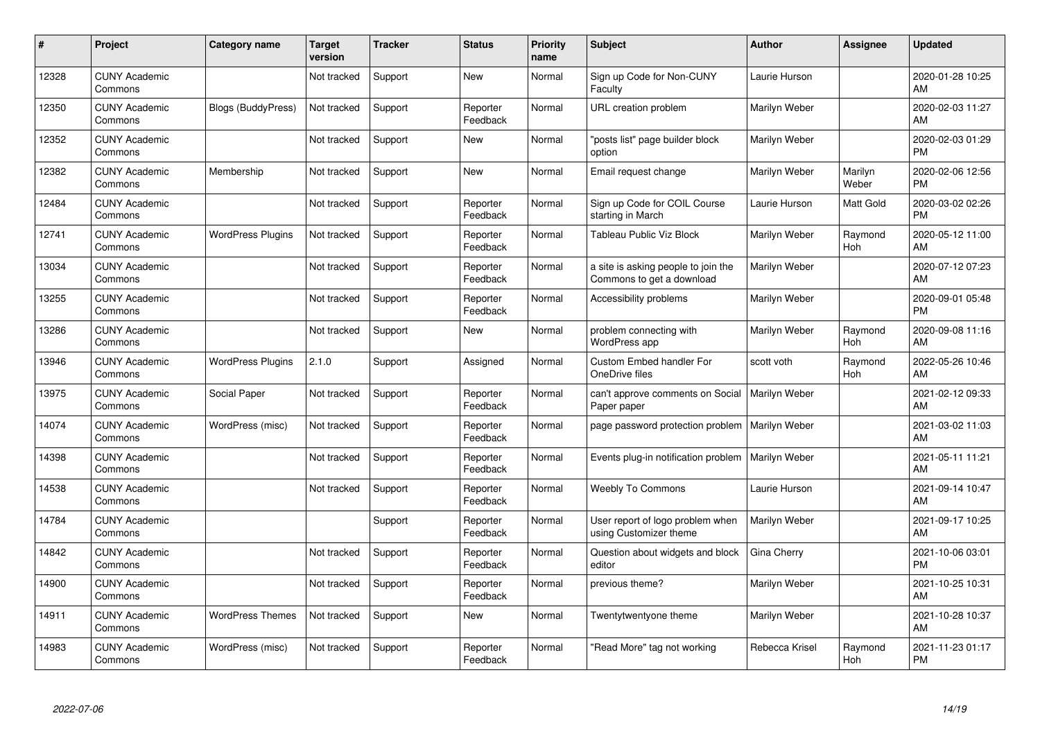| #     | Project                         | <b>Category name</b>      | Target<br>version | <b>Tracker</b> | <b>Status</b>        | <b>Priority</b><br>name | <b>Subject</b>                                                   | Author         | Assignee         | <b>Updated</b>                |
|-------|---------------------------------|---------------------------|-------------------|----------------|----------------------|-------------------------|------------------------------------------------------------------|----------------|------------------|-------------------------------|
| 12328 | <b>CUNY Academic</b><br>Commons |                           | Not tracked       | Support        | <b>New</b>           | Normal                  | Sign up Code for Non-CUNY<br>Faculty                             | Laurie Hurson  |                  | 2020-01-28 10:25<br>AM        |
| 12350 | <b>CUNY Academic</b><br>Commons | <b>Blogs (BuddyPress)</b> | Not tracked       | Support        | Reporter<br>Feedback | Normal                  | URL creation problem                                             | Marilyn Weber  |                  | 2020-02-03 11:27<br>AM        |
| 12352 | <b>CUNY Academic</b><br>Commons |                           | Not tracked       | Support        | New                  | Normal                  | 'posts list" page builder block<br>option                        | Marilyn Weber  |                  | 2020-02-03 01:29<br><b>PM</b> |
| 12382 | <b>CUNY Academic</b><br>Commons | Membership                | Not tracked       | Support        | <b>New</b>           | Normal                  | Email request change                                             | Marilyn Weber  | Marilyn<br>Weber | 2020-02-06 12:56<br><b>PM</b> |
| 12484 | <b>CUNY Academic</b><br>Commons |                           | Not tracked       | Support        | Reporter<br>Feedback | Normal                  | Sign up Code for COIL Course<br>starting in March                | Laurie Hurson  | Matt Gold        | 2020-03-02 02:26<br><b>PM</b> |
| 12741 | <b>CUNY Academic</b><br>Commons | <b>WordPress Plugins</b>  | Not tracked       | Support        | Reporter<br>Feedback | Normal                  | Tableau Public Viz Block                                         | Marilyn Weber  | Raymond<br>Hoh   | 2020-05-12 11:00<br>AM        |
| 13034 | <b>CUNY Academic</b><br>Commons |                           | Not tracked       | Support        | Reporter<br>Feedback | Normal                  | a site is asking people to join the<br>Commons to get a download | Marilyn Weber  |                  | 2020-07-12 07:23<br>AM        |
| 13255 | <b>CUNY Academic</b><br>Commons |                           | Not tracked       | Support        | Reporter<br>Feedback | Normal                  | Accessibility problems                                           | Marilyn Weber  |                  | 2020-09-01 05:48<br><b>PM</b> |
| 13286 | <b>CUNY Academic</b><br>Commons |                           | Not tracked       | Support        | New                  | Normal                  | problem connecting with<br>WordPress app                         | Marilyn Weber  | Raymond<br>Hoh   | 2020-09-08 11:16<br>AM        |
| 13946 | <b>CUNY Academic</b><br>Commons | <b>WordPress Plugins</b>  | 2.1.0             | Support        | Assigned             | Normal                  | <b>Custom Embed handler For</b><br>OneDrive files                | scott voth     | Raymond<br>Hoh   | 2022-05-26 10:46<br>AM        |
| 13975 | <b>CUNY Academic</b><br>Commons | Social Paper              | Not tracked       | Support        | Reporter<br>Feedback | Normal                  | can't approve comments on Social<br>Paper paper                  | Marilyn Weber  |                  | 2021-02-12 09:33<br>AM        |
| 14074 | <b>CUNY Academic</b><br>Commons | WordPress (misc)          | Not tracked       | Support        | Reporter<br>Feedback | Normal                  | page password protection problem                                 | Marilyn Weber  |                  | 2021-03-02 11:03<br>AM        |
| 14398 | <b>CUNY Academic</b><br>Commons |                           | Not tracked       | Support        | Reporter<br>Feedback | Normal                  | Events plug-in notification problem                              | Marilyn Weber  |                  | 2021-05-11 11:21<br>AM        |
| 14538 | <b>CUNY Academic</b><br>Commons |                           | Not tracked       | Support        | Reporter<br>Feedback | Normal                  | <b>Weebly To Commons</b>                                         | Laurie Hurson  |                  | 2021-09-14 10:47<br>AM        |
| 14784 | <b>CUNY Academic</b><br>Commons |                           |                   | Support        | Reporter<br>Feedback | Normal                  | User report of logo problem when<br>using Customizer theme       | Marilyn Weber  |                  | 2021-09-17 10:25<br>AM        |
| 14842 | <b>CUNY Academic</b><br>Commons |                           | Not tracked       | Support        | Reporter<br>Feedback | Normal                  | Question about widgets and block<br>editor                       | Gina Cherry    |                  | 2021-10-06 03:01<br><b>PM</b> |
| 14900 | <b>CUNY Academic</b><br>Commons |                           | Not tracked       | Support        | Reporter<br>Feedback | Normal                  | previous theme?                                                  | Marilyn Weber  |                  | 2021-10-25 10:31<br>AM        |
| 14911 | <b>CUNY Academic</b><br>Commons | <b>WordPress Themes</b>   | Not tracked       | Support        | <b>New</b>           | Normal                  | Twentytwentyone theme                                            | Marilyn Weber  |                  | 2021-10-28 10:37<br>AM        |
| 14983 | <b>CUNY Academic</b><br>Commons | WordPress (misc)          | Not tracked       | Support        | Reporter<br>Feedback | Normal                  | "Read More" tag not working                                      | Rebecca Krisel | Raymond<br>Hoh   | 2021-11-23 01:17<br><b>PM</b> |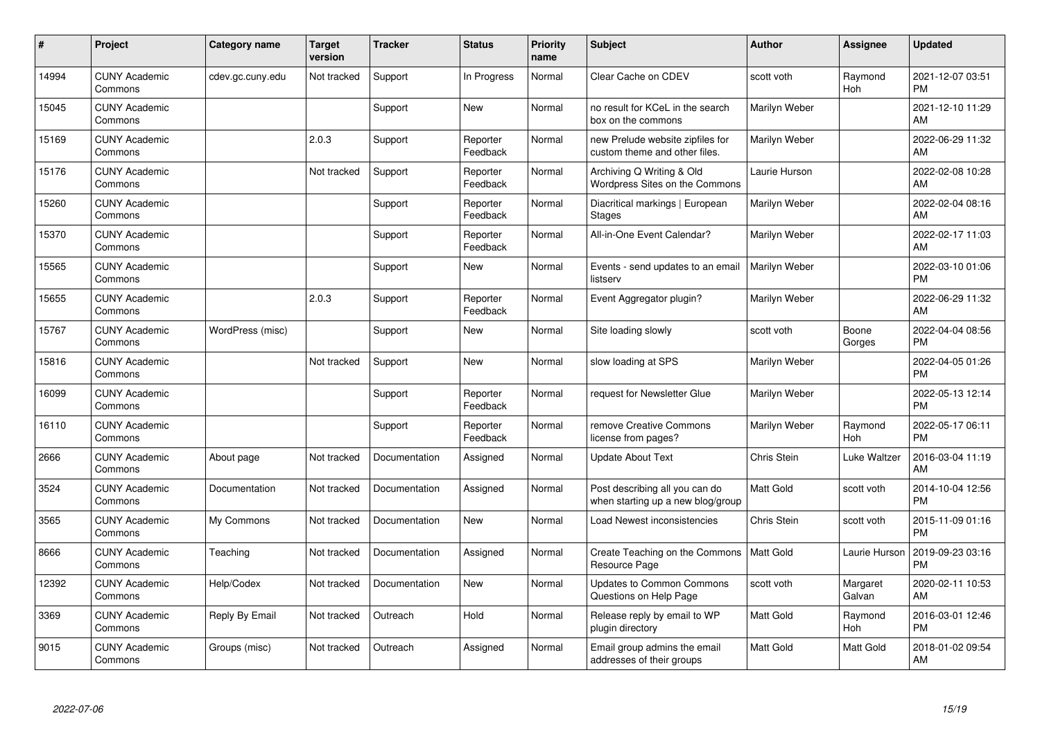| #     | Project                         | Category name    | <b>Target</b><br>version | <b>Tracker</b> | <b>Status</b>        | <b>Priority</b><br>name | Subject                                                             | Author           | <b>Assignee</b>    | <b>Updated</b>                |
|-------|---------------------------------|------------------|--------------------------|----------------|----------------------|-------------------------|---------------------------------------------------------------------|------------------|--------------------|-------------------------------|
| 14994 | <b>CUNY Academic</b><br>Commons | cdev.gc.cuny.edu | Not tracked              | Support        | In Progress          | Normal                  | Clear Cache on CDEV                                                 | scott voth       | Raymond<br>Hoh     | 2021-12-07 03:51<br><b>PM</b> |
| 15045 | <b>CUNY Academic</b><br>Commons |                  |                          | Support        | New                  | Normal                  | no result for KCeL in the search<br>box on the commons              | Marilyn Weber    |                    | 2021-12-10 11:29<br>AM        |
| 15169 | <b>CUNY Academic</b><br>Commons |                  | 2.0.3                    | Support        | Reporter<br>Feedback | Normal                  | new Prelude website zipfiles for<br>custom theme and other files.   | Marilyn Weber    |                    | 2022-06-29 11:32<br>AM        |
| 15176 | <b>CUNY Academic</b><br>Commons |                  | Not tracked              | Support        | Reporter<br>Feedback | Normal                  | Archiving Q Writing & Old<br>Wordpress Sites on the Commons         | Laurie Hurson    |                    | 2022-02-08 10:28<br>AM        |
| 15260 | <b>CUNY Academic</b><br>Commons |                  |                          | Support        | Reporter<br>Feedback | Normal                  | Diacritical markings   European<br><b>Stages</b>                    | Marilyn Weber    |                    | 2022-02-04 08:16<br>AM        |
| 15370 | <b>CUNY Academic</b><br>Commons |                  |                          | Support        | Reporter<br>Feedback | Normal                  | All-in-One Event Calendar?                                          | Marilyn Weber    |                    | 2022-02-17 11:03<br>AM        |
| 15565 | <b>CUNY Academic</b><br>Commons |                  |                          | Support        | <b>New</b>           | Normal                  | Events - send updates to an email<br>listserv                       | Marilyn Weber    |                    | 2022-03-10 01:06<br><b>PM</b> |
| 15655 | <b>CUNY Academic</b><br>Commons |                  | 2.0.3                    | Support        | Reporter<br>Feedback | Normal                  | Event Aggregator plugin?                                            | Marilyn Weber    |                    | 2022-06-29 11:32<br>AM        |
| 15767 | <b>CUNY Academic</b><br>Commons | WordPress (misc) |                          | Support        | <b>New</b>           | Normal                  | Site loading slowly                                                 | scott voth       | Boone<br>Gorges    | 2022-04-04 08:56<br><b>PM</b> |
| 15816 | <b>CUNY Academic</b><br>Commons |                  | Not tracked              | Support        | <b>New</b>           | Normal                  | slow loading at SPS                                                 | Marilyn Weber    |                    | 2022-04-05 01:26<br>PM        |
| 16099 | <b>CUNY Academic</b><br>Commons |                  |                          | Support        | Reporter<br>Feedback | Normal                  | request for Newsletter Glue                                         | Marilyn Weber    |                    | 2022-05-13 12:14<br><b>PM</b> |
| 16110 | <b>CUNY Academic</b><br>Commons |                  |                          | Support        | Reporter<br>Feedback | Normal                  | remove Creative Commons<br>license from pages?                      | Marilyn Weber    | Raymond<br>Hoh     | 2022-05-17 06:11<br><b>PM</b> |
| 2666  | <b>CUNY Academic</b><br>Commons | About page       | Not tracked              | Documentation  | Assigned             | Normal                  | <b>Update About Text</b>                                            | Chris Stein      | Luke Waltzer       | 2016-03-04 11:19<br>AM        |
| 3524  | <b>CUNY Academic</b><br>Commons | Documentation    | Not tracked              | Documentation  | Assigned             | Normal                  | Post describing all you can do<br>when starting up a new blog/group | <b>Matt Gold</b> | scott voth         | 2014-10-04 12:56<br><b>PM</b> |
| 3565  | <b>CUNY Academic</b><br>Commons | My Commons       | Not tracked              | Documentation  | <b>New</b>           | Normal                  | Load Newest inconsistencies                                         | Chris Stein      | scott voth         | 2015-11-09 01:16<br><b>PM</b> |
| 8666  | <b>CUNY Academic</b><br>Commons | Teaching         | Not tracked              | Documentation  | Assigned             | Normal                  | Create Teaching on the Commons<br>Resource Page                     | Matt Gold        | Laurie Hurson      | 2019-09-23 03:16<br><b>PM</b> |
| 12392 | <b>CUNY Academic</b><br>Commons | Help/Codex       | Not tracked              | Documentation  | <b>New</b>           | Normal                  | <b>Updates to Common Commons</b><br>Questions on Help Page          | scott voth       | Margaret<br>Galvan | 2020-02-11 10:53<br>AM        |
| 3369  | <b>CUNY Academic</b><br>Commons | Reply By Email   | Not tracked              | Outreach       | Hold                 | Normal                  | Release reply by email to WP<br>plugin directory                    | Matt Gold        | Raymond<br>Hoh     | 2016-03-01 12:46<br><b>PM</b> |
| 9015  | <b>CUNY Academic</b><br>Commons | Groups (misc)    | Not tracked              | Outreach       | Assigned             | Normal                  | Email group admins the email<br>addresses of their groups           | Matt Gold        | Matt Gold          | 2018-01-02 09:54<br>AM        |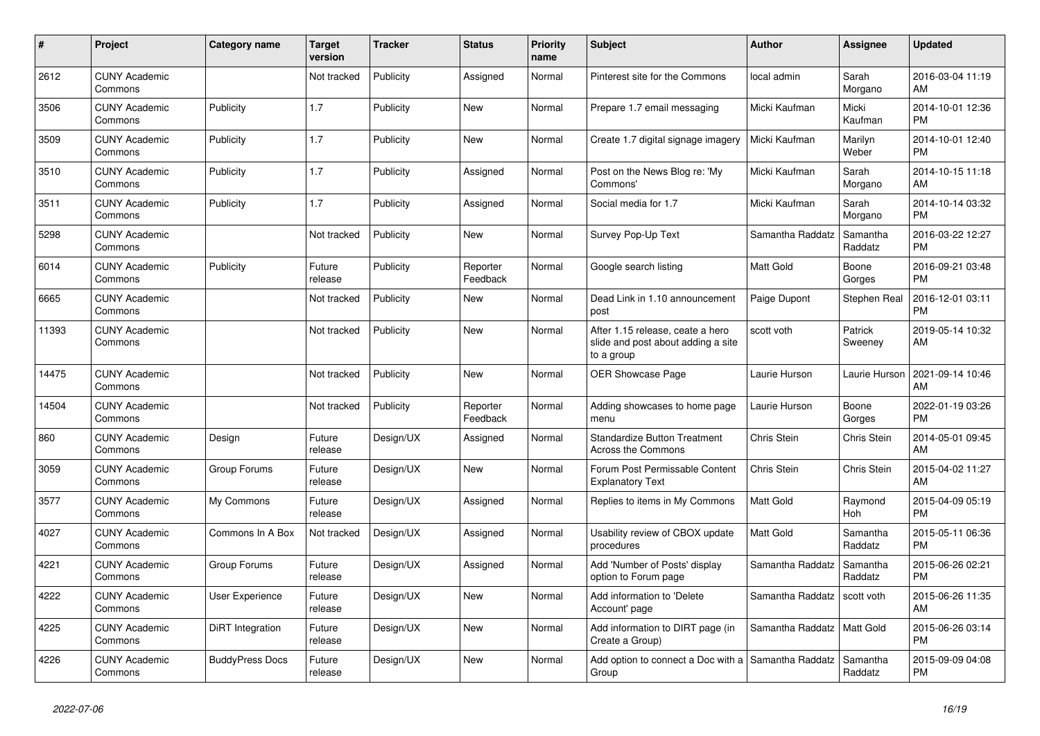| #     | Project                         | <b>Category name</b>   | <b>Target</b><br>version | <b>Tracker</b> | <b>Status</b>        | <b>Priority</b><br>name | <b>Subject</b>                                                                       | <b>Author</b>    | <b>Assignee</b>     | <b>Updated</b>                |
|-------|---------------------------------|------------------------|--------------------------|----------------|----------------------|-------------------------|--------------------------------------------------------------------------------------|------------------|---------------------|-------------------------------|
| 2612  | <b>CUNY Academic</b><br>Commons |                        | Not tracked              | Publicity      | Assigned             | Normal                  | Pinterest site for the Commons                                                       | local admin      | Sarah<br>Morgano    | 2016-03-04 11:19<br>AM        |
| 3506  | <b>CUNY Academic</b><br>Commons | Publicity              | 1.7                      | Publicity      | New                  | Normal                  | Prepare 1.7 email messaging                                                          | Micki Kaufman    | Micki<br>Kaufman    | 2014-10-01 12:36<br><b>PM</b> |
| 3509  | <b>CUNY Academic</b><br>Commons | Publicity              | 1.7                      | Publicity      | New                  | Normal                  | Create 1.7 digital signage imagery                                                   | Micki Kaufman    | Marilyn<br>Weber    | 2014-10-01 12:40<br><b>PM</b> |
| 3510  | <b>CUNY Academic</b><br>Commons | Publicity              | 1.7                      | Publicity      | Assigned             | Normal                  | Post on the News Blog re: 'My<br>Commons'                                            | Micki Kaufman    | Sarah<br>Morgano    | 2014-10-15 11:18<br>AM        |
| 3511  | <b>CUNY Academic</b><br>Commons | Publicity              | 1.7                      | Publicity      | Assigned             | Normal                  | Social media for 1.7                                                                 | Micki Kaufman    | Sarah<br>Morgano    | 2014-10-14 03:32<br><b>PM</b> |
| 5298  | <b>CUNY Academic</b><br>Commons |                        | Not tracked              | Publicity      | New                  | Normal                  | Survey Pop-Up Text                                                                   | Samantha Raddatz | Samantha<br>Raddatz | 2016-03-22 12:27<br><b>PM</b> |
| 6014  | <b>CUNY Academic</b><br>Commons | Publicity              | Future<br>release        | Publicity      | Reporter<br>Feedback | Normal                  | Google search listing                                                                | <b>Matt Gold</b> | Boone<br>Gorges     | 2016-09-21 03:48<br><b>PM</b> |
| 6665  | <b>CUNY Academic</b><br>Commons |                        | Not tracked              | Publicity      | New                  | Normal                  | Dead Link in 1.10 announcement<br>post                                               | Paige Dupont     | Stephen Real        | 2016-12-01 03:11<br><b>PM</b> |
| 11393 | <b>CUNY Academic</b><br>Commons |                        | Not tracked              | Publicity      | <b>New</b>           | Normal                  | After 1.15 release, ceate a hero<br>slide and post about adding a site<br>to a group | scott voth       | Patrick<br>Sweeney  | 2019-05-14 10:32<br>AM        |
| 14475 | <b>CUNY Academic</b><br>Commons |                        | Not tracked              | Publicity      | <b>New</b>           | Normal                  | OER Showcase Page                                                                    | Laurie Hurson    | Laurie Hurson       | 2021-09-14 10:46<br>AM        |
| 14504 | <b>CUNY Academic</b><br>Commons |                        | Not tracked              | Publicity      | Reporter<br>Feedback | Normal                  | Adding showcases to home page<br>menu                                                | Laurie Hurson    | Boone<br>Gorges     | 2022-01-19 03:26<br><b>PM</b> |
| 860   | <b>CUNY Academic</b><br>Commons | Design                 | Future<br>release        | Design/UX      | Assigned             | Normal                  | <b>Standardize Button Treatment</b><br><b>Across the Commons</b>                     | Chris Stein      | Chris Stein         | 2014-05-01 09:45<br>AM        |
| 3059  | <b>CUNY Academic</b><br>Commons | Group Forums           | Future<br>release        | Design/UX      | <b>New</b>           | Normal                  | Forum Post Permissable Content<br><b>Explanatory Text</b>                            | Chris Stein      | Chris Stein         | 2015-04-02 11:27<br>AM        |
| 3577  | <b>CUNY Academic</b><br>Commons | My Commons             | Future<br>release        | Design/UX      | Assigned             | Normal                  | Replies to items in My Commons                                                       | <b>Matt Gold</b> | Raymond<br>Hoh      | 2015-04-09 05:19<br><b>PM</b> |
| 4027  | <b>CUNY Academic</b><br>Commons | Commons In A Box       | Not tracked              | Design/UX      | Assigned             | Normal                  | Usability review of CBOX update<br>procedures                                        | <b>Matt Gold</b> | Samantha<br>Raddatz | 2015-05-11 06:36<br><b>PM</b> |
| 4221  | <b>CUNY Academic</b><br>Commons | Group Forums           | Future<br>release        | Design/UX      | Assigned             | Normal                  | Add 'Number of Posts' display<br>option to Forum page                                | Samantha Raddatz | Samantha<br>Raddatz | 2015-06-26 02:21<br><b>PM</b> |
| 4222  | <b>CUNY Academic</b><br>Commons | User Experience        | Future<br>release        | Design/UX      | <b>New</b>           | Normal                  | Add information to 'Delete<br>Account' page                                          | Samantha Raddatz | scott voth          | 2015-06-26 11:35<br>AM        |
| 4225  | <b>CUNY Academic</b><br>Commons | DiRT Integration       | Future<br>release        | Design/UX      | New                  | Normal                  | Add information to DIRT page (in<br>Create a Group)                                  | Samantha Raddatz | Matt Gold           | 2015-06-26 03:14<br><b>PM</b> |
| 4226  | <b>CUNY Academic</b><br>Commons | <b>BuddyPress Docs</b> | Future<br>release        | Design/UX      | <b>New</b>           | Normal                  | Add option to connect a Doc with a Samantha Raddatz<br>Group                         |                  | Samantha<br>Raddatz | 2015-09-09 04:08<br><b>PM</b> |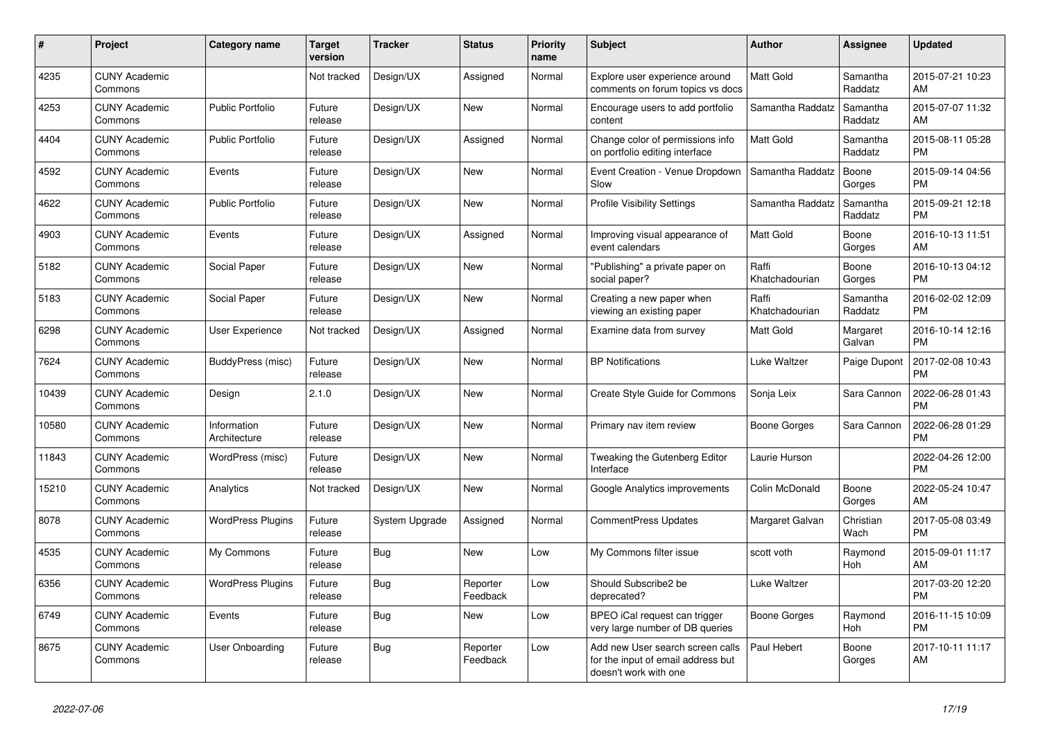| #     | <b>Project</b>                  | <b>Category name</b>        | <b>Target</b><br>version | <b>Tracker</b> | <b>Status</b>        | <b>Priority</b><br>name | <b>Subject</b>                                                                                  | <b>Author</b>           | Assignee            | <b>Updated</b>                |
|-------|---------------------------------|-----------------------------|--------------------------|----------------|----------------------|-------------------------|-------------------------------------------------------------------------------------------------|-------------------------|---------------------|-------------------------------|
| 4235  | <b>CUNY Academic</b><br>Commons |                             | Not tracked              | Design/UX      | Assigned             | Normal                  | Explore user experience around<br>comments on forum topics vs docs                              | Matt Gold               | Samantha<br>Raddatz | 2015-07-21 10:23<br>AM        |
| 4253  | <b>CUNY Academic</b><br>Commons | <b>Public Portfolio</b>     | Future<br>release        | Design/UX      | New                  | Normal                  | Encourage users to add portfolio<br>content                                                     | Samantha Raddatz        | Samantha<br>Raddatz | 2015-07-07 11:32<br>AM        |
| 4404  | <b>CUNY Academic</b><br>Commons | <b>Public Portfolio</b>     | Future<br>release        | Design/UX      | Assigned             | Normal                  | Change color of permissions info<br>on portfolio editing interface                              | Matt Gold               | Samantha<br>Raddatz | 2015-08-11 05:28<br><b>PM</b> |
| 4592  | <b>CUNY Academic</b><br>Commons | Events                      | Future<br>release        | Design/UX      | <b>New</b>           | Normal                  | Event Creation - Venue Dropdown<br>Slow                                                         | Samantha Raddatz        | Boone<br>Gorges     | 2015-09-14 04:56<br><b>PM</b> |
| 4622  | <b>CUNY Academic</b><br>Commons | <b>Public Portfolio</b>     | Future<br>release        | Design/UX      | <b>New</b>           | Normal                  | <b>Profile Visibility Settings</b>                                                              | Samantha Raddatz        | Samantha<br>Raddatz | 2015-09-21 12:18<br><b>PM</b> |
| 4903  | <b>CUNY Academic</b><br>Commons | Events                      | Future<br>release        | Design/UX      | Assigned             | Normal                  | Improving visual appearance of<br>event calendars                                               | Matt Gold               | Boone<br>Gorges     | 2016-10-13 11:51<br>AM        |
| 5182  | <b>CUNY Academic</b><br>Commons | Social Paper                | Future<br>release        | Design/UX      | New                  | Normal                  | "Publishing" a private paper on<br>social paper?                                                | Raffi<br>Khatchadourian | Boone<br>Gorges     | 2016-10-13 04:12<br><b>PM</b> |
| 5183  | <b>CUNY Academic</b><br>Commons | Social Paper                | Future<br>release        | Design/UX      | <b>New</b>           | Normal                  | Creating a new paper when<br>viewing an existing paper                                          | Raffi<br>Khatchadourian | Samantha<br>Raddatz | 2016-02-02 12:09<br><b>PM</b> |
| 6298  | <b>CUNY Academic</b><br>Commons | <b>User Experience</b>      | Not tracked              | Design/UX      | Assigned             | Normal                  | Examine data from survey                                                                        | Matt Gold               | Margaret<br>Galvan  | 2016-10-14 12:16<br><b>PM</b> |
| 7624  | <b>CUNY Academic</b><br>Commons | BuddyPress (misc)           | Future<br>release        | Design/UX      | New                  | Normal                  | <b>BP</b> Notifications                                                                         | Luke Waltzer            | Paige Dupont        | 2017-02-08 10:43<br><b>PM</b> |
| 10439 | <b>CUNY Academic</b><br>Commons | Design                      | 2.1.0                    | Design/UX      | <b>New</b>           | Normal                  | <b>Create Style Guide for Commons</b>                                                           | Sonja Leix              | Sara Cannon         | 2022-06-28 01:43<br><b>PM</b> |
| 10580 | <b>CUNY Academic</b><br>Commons | Information<br>Architecture | Future<br>release        | Design/UX      | New                  | Normal                  | Primary nav item review                                                                         | Boone Gorges            | Sara Cannon         | 2022-06-28 01:29<br><b>PM</b> |
| 11843 | <b>CUNY Academic</b><br>Commons | WordPress (misc)            | Future<br>release        | Design/UX      | New                  | Normal                  | Tweaking the Gutenberg Editor<br>Interface                                                      | Laurie Hurson           |                     | 2022-04-26 12:00<br><b>PM</b> |
| 15210 | <b>CUNY Academic</b><br>Commons | Analytics                   | Not tracked              | Design/UX      | <b>New</b>           | Normal                  | Google Analytics improvements                                                                   | Colin McDonald          | Boone<br>Gorges     | 2022-05-24 10:47<br>AM        |
| 8078  | <b>CUNY Academic</b><br>Commons | <b>WordPress Plugins</b>    | Future<br>release        | System Upgrade | Assigned             | Normal                  | <b>CommentPress Updates</b>                                                                     | Margaret Galvan         | Christian<br>Wach   | 2017-05-08 03:49<br><b>PM</b> |
| 4535  | <b>CUNY Academic</b><br>Commons | My Commons                  | Future<br>release        | <b>Bug</b>     | New                  | Low                     | My Commons filter issue                                                                         | scott voth              | Raymond<br>Hoh      | 2015-09-01 11:17<br>AM        |
| 6356  | <b>CUNY Academic</b><br>Commons | <b>WordPress Plugins</b>    | Future<br>release        | Bug            | Reporter<br>Feedback | Low                     | Should Subscribe2 be<br>deprecated?                                                             | Luke Waltzer            |                     | 2017-03-20 12:20<br><b>PM</b> |
| 6749  | <b>CUNY Academic</b><br>Commons | Events                      | Future<br>release        | <b>Bug</b>     | <b>New</b>           | Low                     | BPEO iCal request can trigger<br>very large number of DB queries                                | <b>Boone Gorges</b>     | Raymond<br>Hoh      | 2016-11-15 10:09<br><b>PM</b> |
| 8675  | <b>CUNY Academic</b><br>Commons | User Onboarding             | Future<br>release        | <b>Bug</b>     | Reporter<br>Feedback | Low                     | Add new User search screen calls<br>for the input of email address but<br>doesn't work with one | Paul Hebert             | Boone<br>Gorges     | 2017-10-11 11:17<br>AM        |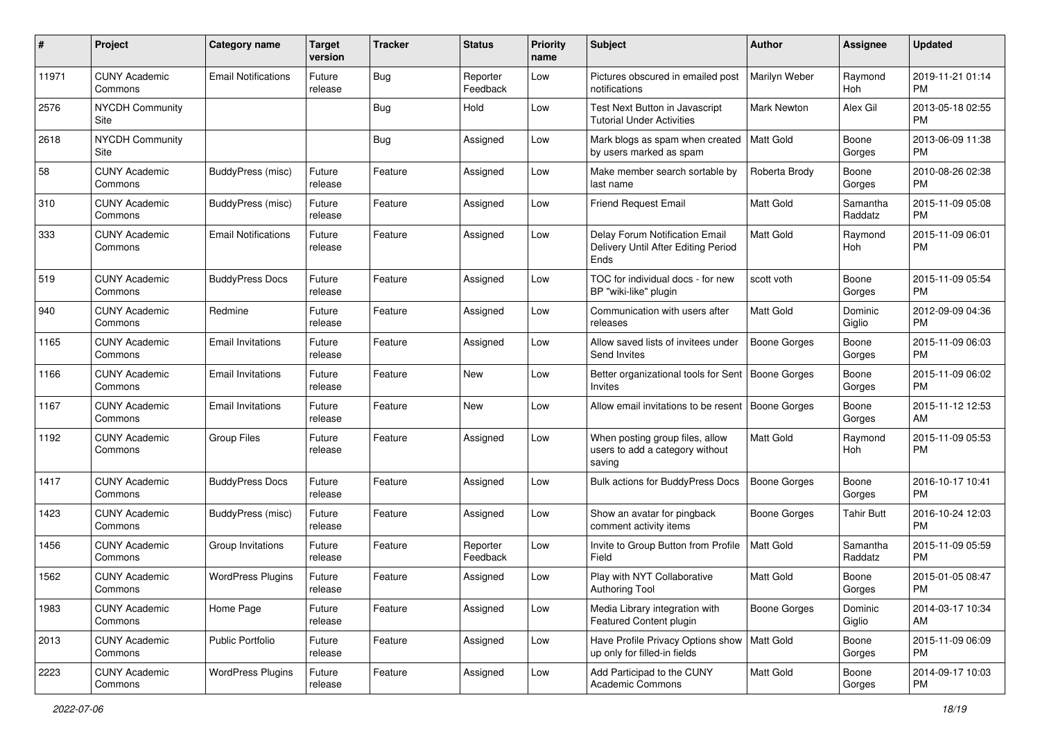| #     | Project                         | <b>Category name</b>       | <b>Target</b><br>version | <b>Tracker</b> | <b>Status</b>        | <b>Priority</b><br>name | <b>Subject</b>                                                                | Author              | <b>Assignee</b>     | <b>Updated</b>                |
|-------|---------------------------------|----------------------------|--------------------------|----------------|----------------------|-------------------------|-------------------------------------------------------------------------------|---------------------|---------------------|-------------------------------|
| 11971 | <b>CUNY Academic</b><br>Commons | <b>Email Notifications</b> | Future<br>release        | <b>Bug</b>     | Reporter<br>Feedback | Low                     | Pictures obscured in emailed post<br>notifications                            | Marilyn Weber       | Raymond<br>Hoh      | 2019-11-21 01:14<br><b>PM</b> |
| 2576  | <b>NYCDH Community</b><br>Site  |                            |                          | <b>Bug</b>     | Hold                 | Low                     | Test Next Button in Javascript<br><b>Tutorial Under Activities</b>            | Mark Newton         | Alex Gil            | 2013-05-18 02:55<br><b>PM</b> |
| 2618  | <b>NYCDH Community</b><br>Site  |                            |                          | <b>Bug</b>     | Assigned             | Low                     | Mark blogs as spam when created<br>by users marked as spam                    | <b>Matt Gold</b>    | Boone<br>Gorges     | 2013-06-09 11:38<br><b>PM</b> |
| 58    | <b>CUNY Academic</b><br>Commons | BuddyPress (misc)          | Future<br>release        | Feature        | Assigned             | Low                     | Make member search sortable by<br>last name                                   | Roberta Brody       | Boone<br>Gorges     | 2010-08-26 02:38<br><b>PM</b> |
| 310   | <b>CUNY Academic</b><br>Commons | BuddyPress (misc)          | Future<br>release        | Feature        | Assigned             | Low                     | <b>Friend Request Email</b>                                                   | <b>Matt Gold</b>    | Samantha<br>Raddatz | 2015-11-09 05:08<br><b>PM</b> |
| 333   | <b>CUNY Academic</b><br>Commons | <b>Email Notifications</b> | Future<br>release        | Feature        | Assigned             | Low                     | Delay Forum Notification Email<br>Delivery Until After Editing Period<br>Ends | Matt Gold           | Raymond<br>Hoh      | 2015-11-09 06:01<br><b>PM</b> |
| 519   | <b>CUNY Academic</b><br>Commons | <b>BuddyPress Docs</b>     | Future<br>release        | Feature        | Assigned             | Low                     | TOC for individual docs - for new<br>BP "wiki-like" plugin                    | scott voth          | Boone<br>Gorges     | 2015-11-09 05:54<br><b>PM</b> |
| 940   | <b>CUNY Academic</b><br>Commons | Redmine                    | Future<br>release        | Feature        | Assigned             | Low                     | Communication with users after<br>releases                                    | Matt Gold           | Dominic<br>Giglio   | 2012-09-09 04:36<br><b>PM</b> |
| 1165  | <b>CUNY Academic</b><br>Commons | <b>Email Invitations</b>   | Future<br>release        | Feature        | Assigned             | Low                     | Allow saved lists of invitees under<br>Send Invites                           | <b>Boone Gorges</b> | Boone<br>Gorges     | 2015-11-09 06:03<br><b>PM</b> |
| 1166  | <b>CUNY Academic</b><br>Commons | <b>Email Invitations</b>   | Future<br>release        | Feature        | New                  | Low                     | Better organizational tools for Sent   Boone Gorges<br>Invites                |                     | Boone<br>Gorges     | 2015-11-09 06:02<br><b>PM</b> |
| 1167  | <b>CUNY Academic</b><br>Commons | <b>Email Invitations</b>   | Future<br>release        | Feature        | New                  | Low                     | Allow email invitations to be resent                                          | Boone Gorges        | Boone<br>Gorges     | 2015-11-12 12:53<br>AM        |
| 1192  | <b>CUNY Academic</b><br>Commons | <b>Group Files</b>         | Future<br>release        | Feature        | Assigned             | Low                     | When posting group files, allow<br>users to add a category without<br>saving  | Matt Gold           | Raymond<br>Hoh      | 2015-11-09 05:53<br><b>PM</b> |
| 1417  | <b>CUNY Academic</b><br>Commons | <b>BuddyPress Docs</b>     | Future<br>release        | Feature        | Assigned             | Low                     | <b>Bulk actions for BuddyPress Docs</b>                                       | <b>Boone Gorges</b> | Boone<br>Gorges     | 2016-10-17 10:41<br>PM        |
| 1423  | <b>CUNY Academic</b><br>Commons | BuddyPress (misc)          | Future<br>release        | Feature        | Assigned             | Low                     | Show an avatar for pingback<br>comment activity items                         | Boone Gorges        | <b>Tahir Butt</b>   | 2016-10-24 12:03<br><b>PM</b> |
| 1456  | <b>CUNY Academic</b><br>Commons | Group Invitations          | Future<br>release        | Feature        | Reporter<br>Feedback | Low                     | Invite to Group Button from Profile<br>Field                                  | <b>Matt Gold</b>    | Samantha<br>Raddatz | 2015-11-09 05:59<br><b>PM</b> |
| 1562  | <b>CUNY Academic</b><br>Commons | <b>WordPress Plugins</b>   | Future<br>release        | Feature        | Assigned             | Low                     | Play with NYT Collaborative<br>Authoring Tool                                 | Matt Gold           | Boone<br>Gorges     | 2015-01-05 08:47<br>PM        |
| 1983  | <b>CUNY Academic</b><br>Commons | Home Page                  | Future<br>release        | Feature        | Assigned             | Low                     | Media Library integration with<br>Featured Content plugin                     | <b>Boone Gorges</b> | Dominic<br>Giglio   | 2014-03-17 10:34<br>AM        |
| 2013  | <b>CUNY Academic</b><br>Commons | <b>Public Portfolio</b>    | Future<br>release        | Feature        | Assigned             | Low                     | Have Profile Privacy Options show   Matt Gold<br>up only for filled-in fields |                     | Boone<br>Gorges     | 2015-11-09 06:09<br><b>PM</b> |
| 2223  | <b>CUNY Academic</b><br>Commons | <b>WordPress Plugins</b>   | Future<br>release        | Feature        | Assigned             | Low                     | Add Participad to the CUNY<br><b>Academic Commons</b>                         | Matt Gold           | Boone<br>Gorges     | 2014-09-17 10:03<br><b>PM</b> |